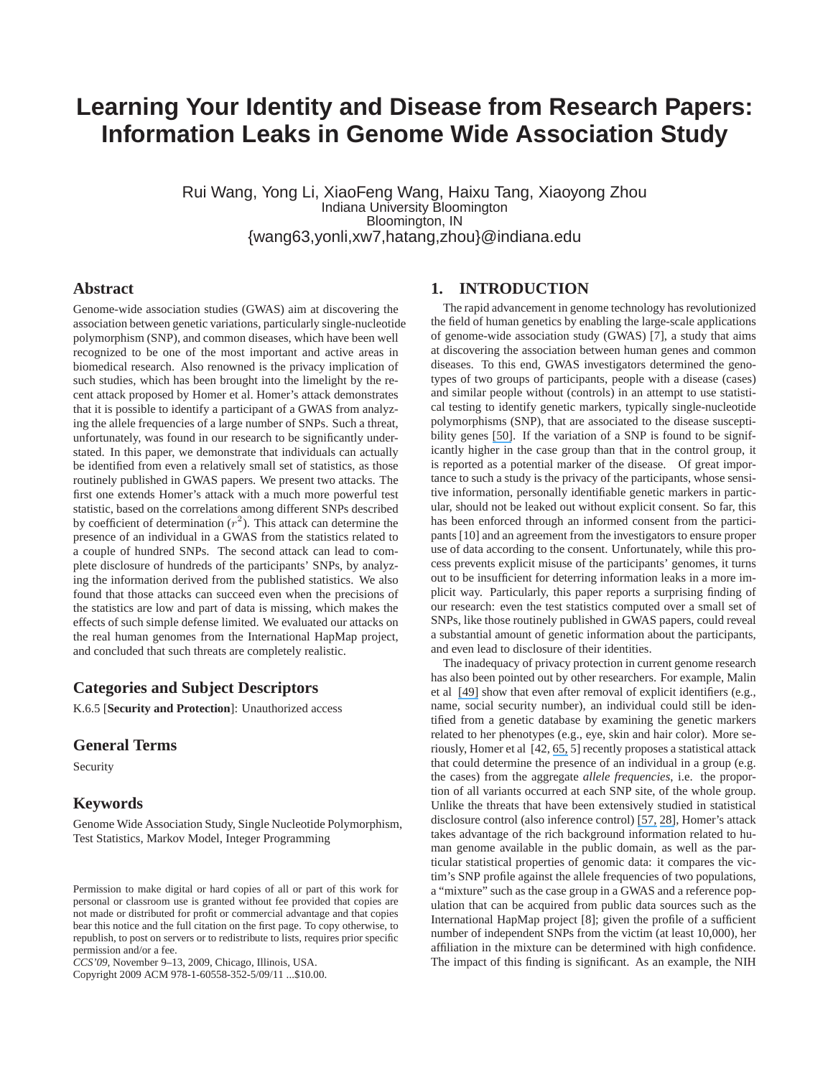# **Learning Your Identity and Disease from Research Papers: Information Leaks in Genome Wide Association Study**

Rui Wang, Yong Li, XiaoFeng Wang, Haixu Tang, Xiaoyong Zhou Indiana University Bloomington Bloomington, IN {wang63,yonli,xw7,hatang,zhou}@indiana.edu

## **Abstract**

Genome-wide association studies (GWAS) aim at discovering the association between genetic variations, particularly single-nucleotide polymorphism (SNP), and common diseases, which have been well recognized to be one of the most important and active areas in biomedical research. Also renowned is the privacy implication of such studies, which has been brought into the limelight by the recent attack proposed by Homer et al. Homer's attack demonstrates that it is possible to identify a participant of a GWAS from analyzing the allele frequencies of a large number of SNPs. Such a threat, unfortunately, was found in our research to be significantly understated. In this paper, we demonstrate that individuals can actually be identified from even a relatively small set of statistics, as those routinely published in GWAS papers. We present two attacks. The first one extends Homer's attack with a much more powerful test statistic, based on the correlations among different SNPs described by coefficient of determination  $(r^2)$ . This attack can determine the presence of an individual in a GWAS from the statistics related to a couple of hundred SNPs. The second attack can lead to complete disclosure of hundreds of the participants' SNPs, by analyzing the information derived from the published statistics. We also found that those attacks can succeed even when the precisions of the statistics are low and part of data is missing, which makes the effects of such simple defense limited. We evaluated our attacks on the real human genomes from the International HapMap project, and concluded that such threats are completely realistic.

## **Categories and Subject Descriptors**

K.6.5 [**Security and Protection**]: Unauthorized access

#### **General Terms**

Security

#### **Keywords**

Genome Wide Association Study, Single Nucleotide Polymorphism, Test Statistics, Markov Model, Integer Programming

Copyright 2009 ACM 978-1-60558-352-5/09/11 ...\$10.00.

## **1. INTRODUCTION**

The rapid advancement in genome technology has revolutionized the field of human genetics by enabling the large-scale applications of genome-wide association study (GWAS) [7], a study that aims at discovering the association between human genes and common diseases. To this end, GWAS investigators determined the genotypes of two groups of participants, people with a disease (cases) and similar people without (controls) in an attempt to use statistical testing to identify genetic markers, typically single-nucleotide polymorphisms (SNP), that are associated to the disease susceptibility genes [\[50\]](https://www.researchgate.net/publication/9072533_New_methods_for_finding_disease-susceptibility_genes_Impact_and_potential?el=1_x_8&enrichId=rgreq-ed46c1f516e579eea4f21d145b4a598d-XXX&enrichSource=Y292ZXJQYWdlOzIyMTYwOTE5NDtBUzoxMDM2OTY3NzE4NDYxNTJAMTQwMTczNDY0NTU4Ng==). If the variation of a SNP is found to be significantly higher in the case group than that in the control group, it is reported as a potential marker of the disease. Of great importance to such a study is the privacy of the participants, whose sensitive information, personally identifiable genetic markers in particular, should not be leaked out without explicit consent. So far, this has been enforced through an informed consent from the participants [10] and an agreement from the investigators to ensure proper use of data according to the consent. Unfortunately, while this process prevents explicit misuse of the participants' genomes, it turns out to be insufficient for deterring information leaks in a more implicit way. Particularly, this paper reports a surprising finding of our research: even the test statistics computed over a small set of SNPs, like those routinely published in GWAS papers, could reveal a substantial amount of genetic information about the participants, and even lead to disclosure of their identities.

The inadequacy of privacy protection in current genome research has also been pointed out by other researchers. For example, Malin et al [\[49\]](https://www.researchgate.net/publication/6565452_Re-identification_of_familial_database_records?el=1_x_8&enrichId=rgreq-ed46c1f516e579eea4f21d145b4a598d-XXX&enrichSource=Y292ZXJQYWdlOzIyMTYwOTE5NDtBUzoxMDM2OTY3NzE4NDYxNTJAMTQwMTczNDY0NTU4Ng==) show that even after removal of explicit identifiers (e.g., name, social security number), an individual could still be identified from a genetic database by examining the genetic markers related to her phenotypes (e.g., eye, skin and hair color). More seriously, Homer et al [42, [65,](https://www.researchgate.net/publication/23238492_Protecting_Aggregate_Genomic_Data?el=1_x_8&enrichId=rgreq-ed46c1f516e579eea4f21d145b4a598d-XXX&enrichSource=Y292ZXJQYWdlOzIyMTYwOTE5NDtBUzoxMDM2OTY3NzE4NDYxNTJAMTQwMTczNDY0NTU4Ng==) 5] recently proposes a statistical attack that could determine the presence of an individual in a group (e.g. the cases) from the aggregate *allele frequencies*, i.e. the proportion of all variants occurred at each SNP site, of the whole group. Unlike the threats that have been extensively studied in statistical disclosure control (also inference control) [\[57,](https://www.researchgate.net/publication/233554151_Statistical_disclosure_control_SDC_in_practice_some_examples_in?el=1_x_8&enrichId=rgreq-ed46c1f516e579eea4f21d145b4a598d-XXX&enrichSource=Y292ZXJQYWdlOzIyMTYwOTE5NDtBUzoxMDM2OTY3NzE4NDYxNTJAMTQwMTczNDY0NTU4Ng==) [28\]](https://www.researchgate.net/publication/221307133_Advances_in_Inference_Control_in_Statistical_Databases_An_Overview?el=1_x_8&enrichId=rgreq-ed46c1f516e579eea4f21d145b4a598d-XXX&enrichSource=Y292ZXJQYWdlOzIyMTYwOTE5NDtBUzoxMDM2OTY3NzE4NDYxNTJAMTQwMTczNDY0NTU4Ng==), Homer's attack takes advantage of the rich background information related to human genome available in the public domain, as well as the particular statistical properties of genomic data: it compares the victim's SNP profile against the allele frequencies of two populations, a "mixture" such as the case group in a GWAS and a reference population that can be acquired from public data sources such as the International HapMap project [8]; given the profile of a sufficient number of independent SNPs from the victim (at least 10,000), her affiliation in the mixture can be determined with high confidence. The impact of this finding is significant. As an example, the NIH

Permission to make digital or hard copies of all or part of this work for personal or classroom use is granted without fee provided that copies are not made or distributed for profit or commercial advantage and that copies bear this notice and the full citation on the first page. To copy otherwise, to republish, to post on servers or to redistribute to lists, requires prior specific permission and/or a fee.

*CCS'09,* November 9–13, 2009, Chicago, Illinois, USA.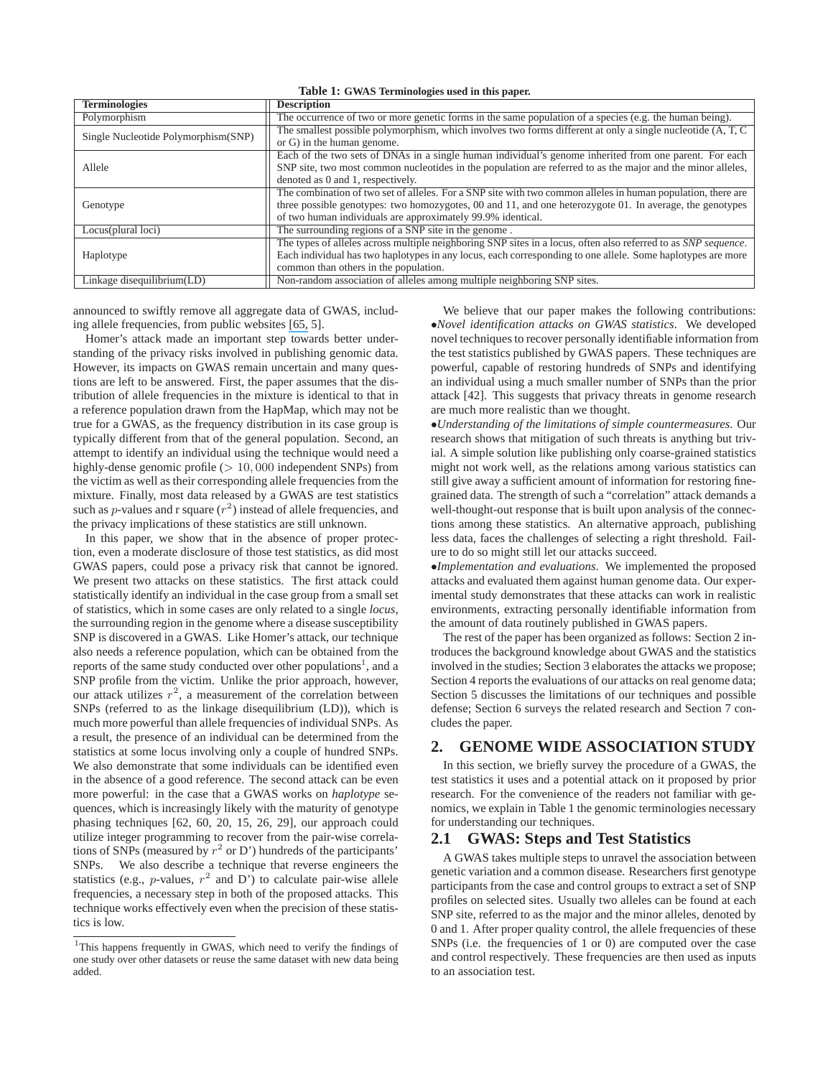|  |  |  | Table 1: GWAS Terminologies used in this paper. |  |  |  |  |  |
|--|--|--|-------------------------------------------------|--|--|--|--|--|
|--|--|--|-------------------------------------------------|--|--|--|--|--|

| <b>Terminologies</b>                | <b>Description</b>                                                                                             |
|-------------------------------------|----------------------------------------------------------------------------------------------------------------|
| Polymorphism                        | The occurrence of two or more genetic forms in the same population of a species (e.g. the human being).        |
| Single Nucleotide Polymorphism(SNP) | The smallest possible polymorphism, which involves two forms different at only a single nucleotide (A, T, C    |
|                                     | or G) in the human genome.                                                                                     |
|                                     | Each of the two sets of DNAs in a single human individual's genome inherited from one parent. For each         |
| Allele                              | SNP site, two most common nucleotides in the population are referred to as the major and the minor alleles,    |
|                                     | denoted as 0 and 1, respectively.                                                                              |
|                                     | The combination of two set of alleles. For a SNP site with two common alleles in human population, there are   |
| Genotype                            | three possible genotypes: two homozygotes, 00 and 11, and one heterozygote 01. In average, the genotypes       |
|                                     | of two human individuals are approximately 99.9% identical.                                                    |
| Locus(plural loci)                  | The surrounding regions of a SNP site in the genome.                                                           |
|                                     | The types of alleles across multiple neighboring SNP sites in a locus, often also referred to as SNP sequence. |
| Haplotype                           | Each individual has two haplotypes in any locus, each corresponding to one allele. Some haplotypes are more    |
|                                     | common than others in the population.                                                                          |
| Linkage disequilibrium(LD)          | Non-random association of alleles among multiple neighboring SNP sites.                                        |

announced to swiftly remove all aggregate data of GWAS, including allele frequencies, from public websites [\[65,](https://www.researchgate.net/publication/23238492_Protecting_Aggregate_Genomic_Data?el=1_x_8&enrichId=rgreq-ed46c1f516e579eea4f21d145b4a598d-XXX&enrichSource=Y292ZXJQYWdlOzIyMTYwOTE5NDtBUzoxMDM2OTY3NzE4NDYxNTJAMTQwMTczNDY0NTU4Ng==) 5].

Homer's attack made an important step towards better understanding of the privacy risks involved in publishing genomic data. However, its impacts on GWAS remain uncertain and many questions are left to be answered. First, the paper assumes that the distribution of allele frequencies in the mixture is identical to that in a reference population drawn from the HapMap, which may not be true for a GWAS, as the frequency distribution in its case group is typically different from that of the general population. Second, an attempt to identify an individual using the technique would need a highly-dense genomic profile  $(> 10, 000)$  independent SNPs) from the victim as well as their corresponding allele frequencies from the mixture. Finally, most data released by a GWAS are test statistics such as *p*-values and r square  $(r^2)$  instead of allele frequencies, and the privacy implications of these statistics are still unknown.

In this paper, we show that in the absence of proper protection, even a moderate disclosure of those test statistics, as did most GWAS papers, could pose a privacy risk that cannot be ignored. We present two attacks on these statistics. The first attack could statistically identify an individual in the case group from a small set of statistics, which in some cases are only related to a single *locus*, the surrounding region in the genome where a disease susceptibility SNP is discovered in a GWAS. Like Homer's attack, our technique also needs a reference population, which can be obtained from the reports of the same study conducted over other populations<sup>1</sup>, and a SNP profile from the victim. Unlike the prior approach, however, our attack utilizes  $r^2$ , a measurement of the correlation between SNPs (referred to as the linkage disequilibrium (LD)), which is much more powerful than allele frequencies of individual SNPs. As a result, the presence of an individual can be determined from the statistics at some locus involving only a couple of hundred SNPs. We also demonstrate that some individuals can be identified even in the absence of a good reference. The second attack can be even more powerful: in the case that a GWAS works on *haplotype* sequences, which is increasingly likely with the maturity of genotype phasing techniques [62, 60, 20, 15, 26, 29], our approach could utilize integer programming to recover from the pair-wise correlations of SNPs (measured by  $r^2$  or D') hundreds of the participants'<br>SNPs We also describe a technique that reverse engineers the We also describe a technique that reverse engineers the statistics (e.g., *p*-values,  $r^2$  and D') to calculate pair-wise allele frequencies, a necessary step in both of the proposed attacks. This technique works effectively even when the precision of these statistics is low.

We believe that our paper makes the following contributions: •*Novel identification attacks on GWAS statistics*. We developed novel techniques to recover personally identifiable information from the test statistics published by GWAS papers. These techniques are powerful, capable of restoring hundreds of SNPs and identifying an individual using a much smaller number of SNPs than the prior attack [42]. This suggests that privacy threats in genome research are much more realistic than we thought.

•*Understanding of the limitations of simple countermeasures*. Our research shows that mitigation of such threats is anything but trivial. A simple solution like publishing only coarse-grained statistics might not work well, as the relations among various statistics can still give away a sufficient amount of information for restoring finegrained data. The strength of such a "correlation" attack demands a well-thought-out response that is built upon analysis of the connections among these statistics. An alternative approach, publishing less data, faces the challenges of selecting a right threshold. Failure to do so might still let our attacks succeed.

•*Implementation and evaluations*. We implemented the proposed attacks and evaluated them against human genome data. Our experimental study demonstrates that these attacks can work in realistic environments, extracting personally identifiable information from the amount of data routinely published in GWAS papers.

The rest of the paper has been organized as follows: Section 2 introduces the background knowledge about GWAS and the statistics involved in the studies; Section 3 elaborates the attacks we propose; Section 4 reports the evaluations of our attacks on real genome data; Section 5 discusses the limitations of our techniques and possible defense; Section 6 surveys the related research and Section 7 concludes the paper.

## **2. GENOME WIDE ASSOCIATION STUDY**

In this section, we briefly survey the procedure of a GWAS, the test statistics it uses and a potential attack on it proposed by prior research. For the convenience of the readers not familiar with genomics, we explain in Table 1 the genomic terminologies necessary for understanding our techniques.

#### **2.1 GWAS: Steps and Test Statistics**

A GWAS takes multiple steps to unravel the association between genetic variation and a common disease. Researchers first genotype participants from the case and control groups to extract a set of SNP profiles on selected sites. Usually two alleles can be found at each SNP site, referred to as the major and the minor alleles, denoted by 0 and 1. After proper quality control, the allele frequencies of these SNPs (i.e. the frequencies of 1 or 0) are computed over the case and control respectively. These frequencies are then used as inputs to an association test.

<sup>&</sup>lt;sup>1</sup>This happens frequently in GWAS, which need to verify the findings of one study over other datasets or reuse the same dataset with new data being added.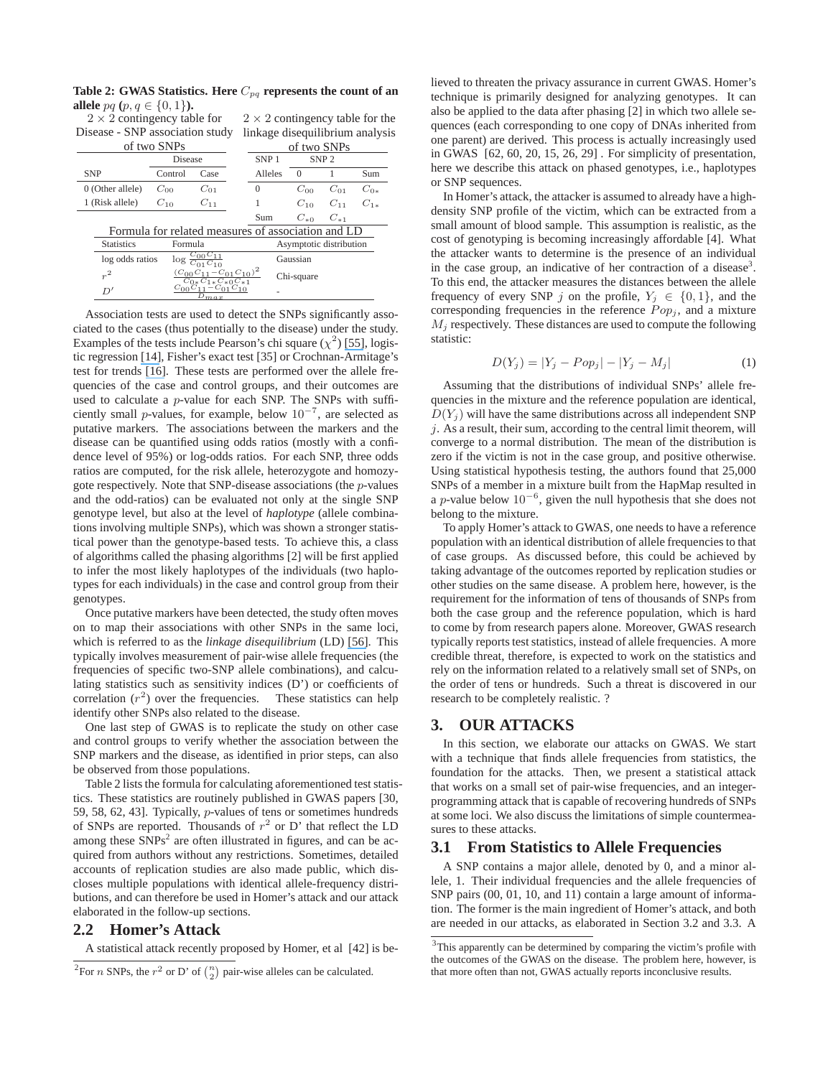|                                    | <b>allele</b> pq $(p, q \in \{0, 1\})$ .                |                                                    |                                 |  |                                        |             |                         |          |  |  |
|------------------------------------|---------------------------------------------------------|----------------------------------------------------|---------------------------------|--|----------------------------------------|-------------|-------------------------|----------|--|--|
| $2 \times 2$ contingency table for |                                                         |                                                    |                                 |  | $2 \times 2$ contingency table for the |             |                         |          |  |  |
|                                    | Disease - SNP association study                         |                                                    |                                 |  | linkage disequilibrium analysis        |             |                         |          |  |  |
|                                    |                                                         | of two SNPs                                        |                                 |  |                                        | of two SNPs |                         |          |  |  |
|                                    |                                                         | Disease                                            |                                 |  | SNP <sub>1</sub><br>SNP <sub>2</sub>   |             |                         |          |  |  |
| <b>SNP</b>                         |                                                         | Control                                            | Case                            |  | Alleles                                | $\Omega$    |                         | Sum      |  |  |
|                                    | 0 (Other allele)                                        | $C_{00}$                                           | $C_{01}$                        |  | $\Omega$                               | $C_{00}$    | $C_{01}$                | $C_{0*}$ |  |  |
|                                    | 1 (Risk allele)                                         | $C_{10}$                                           | $C_{11}$                        |  |                                        | $C_{10}$    | $C_{11}$                | $C_{1*}$ |  |  |
|                                    |                                                         |                                                    |                                 |  | Sum                                    | $C_{*0}$    | $C_{*1}$                |          |  |  |
|                                    |                                                         | Formula for related measures of association and LD |                                 |  |                                        |             |                         |          |  |  |
|                                    | <b>Statistics</b>                                       | Formula                                            |                                 |  |                                        |             | Asymptotic distribution |          |  |  |
|                                    | log odds ratios<br>$\log \frac{c_{\text{uv}}}{C_{01}C}$ |                                                    |                                 |  | Gaussian                               |             |                         |          |  |  |
| $r^2$                              |                                                         |                                                    | $(C_{00}C_{11}-C_{01}C_{10})^2$ |  |                                        | Chi-square  |                         |          |  |  |
|                                    | D'                                                      | $C_{00}$                                           | m.a.x                           |  |                                        |             |                         |          |  |  |

**Table 2: GWAS Statistics. Here**  $C_{pq}$  **represents the count of an** 

Association tests are used to detect the SNPs significantly associated to the cases (thus potentially to the disease) under the study. Examples of the tests include Pearson's chi square  $(\chi^2)$  [\[55\]](https://www.researchgate.net/publication/268999195_Karl_Pearson_and_the_Chi-Squared_Test?el=1_x_8&enrichId=rgreq-ed46c1f516e579eea4f21d145b4a598d-XXX&enrichSource=Y292ZXJQYWdlOzIyMTYwOTE5NDtBUzoxMDM2OTY3NzE4NDYxNTJAMTQwMTczNDY0NTU4Ng==), logistic regression [\[14\]](https://www.researchgate.net/publication/264933916_Categorical_Data_Analysis_2nd_Edn?el=1_x_8&enrichId=rgreq-ed46c1f516e579eea4f21d145b4a598d-XXX&enrichSource=Y292ZXJQYWdlOzIyMTYwOTE5NDtBUzoxMDM2OTY3NzE4NDYxNTJAMTQwMTczNDY0NTU4Ng==), Fisher's exact test [35] or Crochnan-Armitage's test for trends [\[16\]](https://www.researchgate.net/publication/240277862_Armitage_P_Tests_for_Linear_Trends_in_Proportions_and_Frequencies_Biometrics_11_375-386?el=1_x_8&enrichId=rgreq-ed46c1f516e579eea4f21d145b4a598d-XXX&enrichSource=Y292ZXJQYWdlOzIyMTYwOTE5NDtBUzoxMDM2OTY3NzE4NDYxNTJAMTQwMTczNDY0NTU4Ng==). These tests are performed over the allele frequencies of the case and control groups, and their outcomes are used to calculate a p-value for each SNP. The SNPs with sufficiently small *p*-values, for example, below  $10^{-7}$ , are selected as putative markers. The associations between the markers and the disease can be quantified using odds ratios (mostly with a confidence level of 95%) or log-odds ratios. For each SNP, three odds ratios are computed, for the risk allele, heterozygote and homozygote respectively. Note that SNP-disease associations (the p-values and the odd-ratios) can be evaluated not only at the single SNP genotype level, but also at the level of *haplotype* (allele combinations involving multiple SNPs), which was shown a stronger statistical power than the genotype-based tests. To achieve this, a class of algorithms called the phasing algorithms [2] will be first applied to infer the most likely haplotypes of the individuals (two haplotypes for each individuals) in the case and control group from their genotypes.

Once putative markers have been detected, the study often moves on to map their associations with other SNPs in the same loci, which is referred to as the *linkage disequilibrium* (LD) [\[56\]](https://www.researchgate.net/publication/6557127_Some_Applications_of_Mathematics_to_Breeding_Problems_III?el=1_x_8&enrichId=rgreq-ed46c1f516e579eea4f21d145b4a598d-XXX&enrichSource=Y292ZXJQYWdlOzIyMTYwOTE5NDtBUzoxMDM2OTY3NzE4NDYxNTJAMTQwMTczNDY0NTU4Ng==). This typically involves measurement of pair-wise allele frequencies (the frequencies of specific two-SNP allele combinations), and calculating statistics such as sensitivity indices (D') or coefficients of correlation  $(r^2)$  over the frequencies. These statistics can help identify other SNPs also related to the disease.

One last step of GWAS is to replicate the study on other case and control groups to verify whether the association between the SNP markers and the disease, as identified in prior steps, can also be observed from those populations.

Table 2 lists the formula for calculating aforementioned test statistics. These statistics are routinely published in GWAS papers [30, 59, 58, 62, 43]. Typically, p-values of tens or sometimes hundreds of SNPs are reported. Thousands of  $r^2$  or D' that reflect the LD among these  $SNPs<sup>2</sup>$  are often illustrated in figures, and can be acquired from authors without any restrictions. Sometimes, detailed accounts of replication studies are also made public, which discloses multiple populations with identical allele-frequency distributions, and can therefore be used in Homer's attack and our attack elaborated in the follow-up sections.

## **2.2 Homer's Attack**

A statistical attack recently proposed by Homer, et al [42] is be-

lieved to threaten the privacy assurance in current GWAS. Homer's technique is primarily designed for analyzing genotypes. It can also be applied to the data after phasing [2] in which two allele sequences (each corresponding to one copy of DNAs inherited from one parent) are derived. This process is actually increasingly used in GWAS [62, 60, 20, 15, 26, 29] . For simplicity of presentation, here we describe this attack on phased genotypes, i.e., haplotypes or SNP sequences.

In Homer's attack, the attacker is assumed to already have a highdensity SNP profile of the victim, which can be extracted from a small amount of blood sample. This assumption is realistic, as the cost of genotyping is becoming increasingly affordable [4]. What the attacker wants to determine is the presence of an individual in the case group, an indicative of her contraction of a disease<sup>3</sup>. To this end, the attacker measures the distances between the allele frequency of every SNP j on the profile,  $Y_j \in \{0, 1\}$ , and the corresponding frequencies in the reference  $Pop_i$ , and a mixture  $M_i$  respectively. These distances are used to compute the following statistic:

$$
D(Y_j) = |Y_j - Pop_j| - |Y_j - M_j|
$$
 (1)

Assuming that the distributions of individual SNPs' allele frequencies in the mixture and the reference population are identical,  $D(Y_i)$  will have the same distributions across all independent SNP  $j$ . As a result, their sum, according to the central limit theorem, will converge to a normal distribution. The mean of the distribution is zero if the victim is not in the case group, and positive otherwise. Using statistical hypothesis testing, the authors found that 25,000 SNPs of a member in a mixture built from the HapMap resulted in a p-value below  $10^{-6}$ , given the null hypothesis that she does not belong to the mixture.

To apply Homer's attack to GWAS, one needs to have a reference population with an identical distribution of allele frequencies to that of case groups. As discussed before, this could be achieved by taking advantage of the outcomes reported by replication studies or other studies on the same disease. A problem here, however, is the requirement for the information of tens of thousands of SNPs from both the case group and the reference population, which is hard to come by from research papers alone. Moreover, GWAS research typically reports test statistics, instead of allele frequencies. A more credible threat, therefore, is expected to work on the statistics and rely on the information related to a relatively small set of SNPs, on the order of tens or hundreds. Such a threat is discovered in our research to be completely realistic. ?

## **3. OUR ATTACKS**

In this section, we elaborate our attacks on GWAS. We start with a technique that finds allele frequencies from statistics, the foundation for the attacks. Then, we present a statistical attack that works on a small set of pair-wise frequencies, and an integerprogramming attack that is capable of recovering hundreds of SNPs at some loci. We also discuss the limitations of simple countermeasures to these attacks.

#### **3.1 From Statistics to Allele Frequencies**

A SNP contains a major allele, denoted by 0, and a minor allele, 1. Their individual frequencies and the allele frequencies of SNP pairs  $(00, 01, 10,$  and 11) contain a large amount of information. The former is the main ingredient of Homer's attack, and both are needed in our attacks, as elaborated in Section 3.2 and 3.3. A

<sup>&</sup>lt;sup>2</sup>For *n* SNPs, the  $r^2$  or D' of  $\binom{n}{2}$  pair-wise alleles can be calculated.

 $3$ This apparently can be determined by comparing the victim's profile with the outcomes of the GWAS on the disease. The problem here, however, is that more often than not, GWAS actually reports inconclusive results.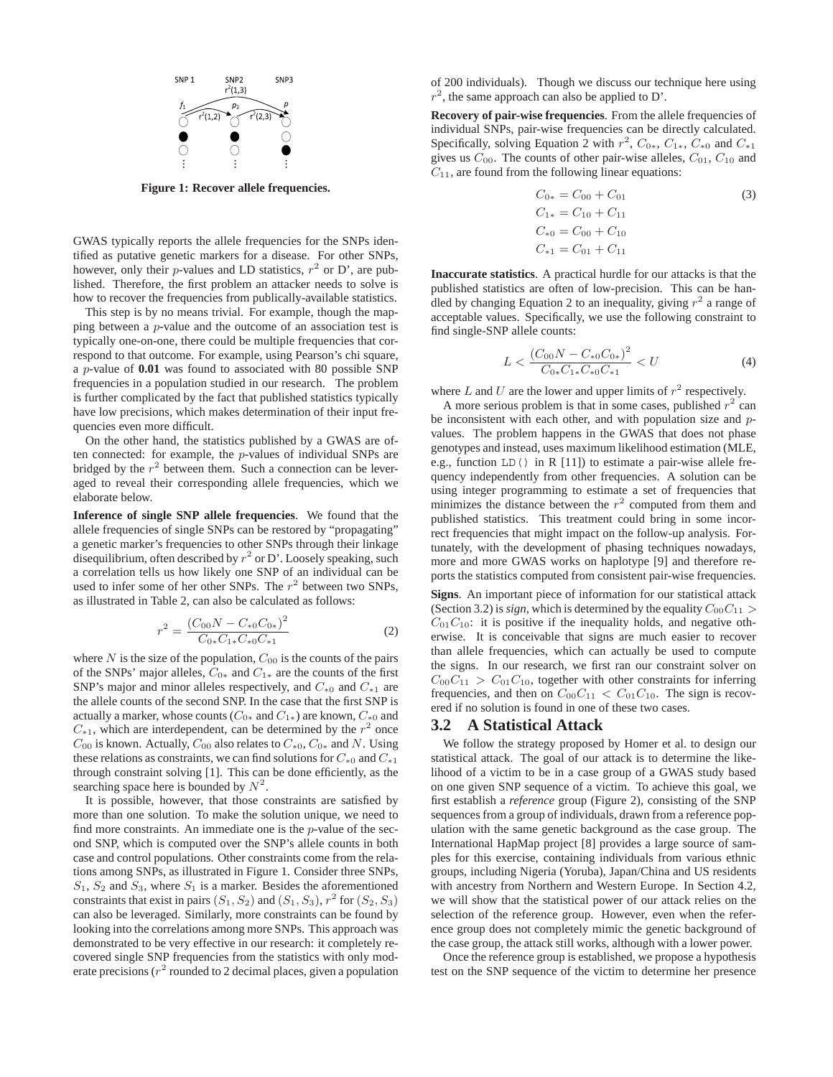

**Figure 1: Recover allele frequencies.**

GWAS typically reports the allele frequencies for the SNPs identified as putative genetic markers for a disease. For other SNPs, however, only their p-values and LD statistics,  $r^2$  or D', are published. Therefore, the first problem an attacker needs to solve is how to recover the frequencies from publically-available statistics.

This step is by no means trivial. For example, though the mapping between a p-value and the outcome of an association test is typically one-on-one, there could be multiple frequencies that correspond to that outcome. For example, using Pearson's chi square, <sup>a</sup> p-value of **0.01** was found to associated with 80 possible SNP frequencies in a population studied in our research. The problem is further complicated by the fact that published statistics typically have low precisions, which makes determination of their input frequencies even more difficult.

On the other hand, the statistics published by a GWAS are often connected: for example, the p-values of individual SNPs are bridged by the  $r^2$  between them. Such a connection can be leveraged to reveal their corresponding allele frequencies, which we elaborate below.

**Inference of single SNP allele frequencies**. We found that the allele frequencies of single SNPs can be restored by "propagating" a genetic marker's frequencies to other SNPs through their linkage disequilibrium, often described by  $r^2$  or D'. Loosely speaking, such a correlation tells us how likely one SNP of an individual can be used to infer some of her other SNPs. The  $r^2$  between two SNPs, as illustrated in Table 2, can also be calculated as follows:

$$
r^{2} = \frac{(C_{00}N - C_{*0}C_{0*})^{2}}{C_{0*}C_{1*}C_{*0}C_{*1}}
$$
\n(2)

where N is the size of the population,  $C_{00}$  is the counts of the pairs<br>of the SNPs' major alleles  $C_{00}$  and  $C_{10}$  are the counts of the first of the SNPs' major alleles,  $C_{0*}$  and  $C_{1*}$  are the counts of the first SNP's major and minor alleles respectively, and  $C_{*0}$  and  $C_{*1}$  are the allele counts of the second SNP. In the case that the first SNP is actually a marker, whose counts ( $C_{0*}$  and  $C_{1*}$ ) are known,  $C_{*0}$  and  $C_{*1}$ , which are interdependent, can be determined by the  $r^2$  once  $C_{00}$  is known. Actually,  $C_{00}$  also relates to  $C_{*0}$ ,  $C_{0*}$  and N. Using these relations as constraints, we can find solutions for  $C_{*0}$  and  $C_{*1}$ through constraint solving [1]. This can be done efficiently, as the searching space here is bounded by  $N^2$ .

It is possible, however, that those constraints are satisfied by more than one solution. To make the solution unique, we need to find more constraints. An immediate one is the  $p$ -value of the second SNP, which is computed over the SNP's allele counts in both case and control populations. Other constraints come from the relations among SNPs, as illustrated in Figure 1. Consider three SNPs,  $S_1$ ,  $S_2$  and  $S_3$ , where  $S_1$  is a marker. Besides the aforementioned constraints that exist in pairs  $(S_1, S_2)$  and  $(S_1, S_3)$ ,  $r^2$  for  $(S_2, S_3)$ can also be leveraged. Similarly, more constraints can be found by looking into the correlations among more SNPs. This approach was demonstrated to be very effective in our research: it completely recovered single SNP frequencies from the statistics with only moderate precisions ( $r^2$  rounded to 2 decimal places, given a population of 200 individuals). Though we discuss our technique here using  $r^2$ , the same approach can also be applied to D'.

**Recovery of pair-wise frequencies**. From the allele frequencies of individual SNPs, pair-wise frequencies can be directly calculated. Specifically, solving Equation 2 with  $r^2$ ,  $C_{0*}$ ,  $C_{1*}$ ,  $C_{*0}$  and  $C_{*1}$ gives us  $C_{00}$ . The counts of other pair-wise alleles,  $C_{01}$ ,  $C_{10}$  and  $C_{11}$ , are found from the following linear equations:

$$
C_{0*} = C_{00} + C_{01}
$$
  
\n
$$
C_{1*} = C_{10} + C_{11}
$$
  
\n
$$
C_{*0} = C_{00} + C_{10}
$$
  
\n
$$
C_{*1} = C_{01} + C_{11}
$$
\n(3)

**Inaccurate statistics**. A practical hurdle for our attacks is that the published statistics are often of low-precision. This can be handled by changing Equation 2 to an inequality, giving  $r^2$  a range of acceptable values. Specifically, we use the following constraint to find single-SNP allele counts:

$$
L < \frac{(C_{00}N - C_{*0}C_{0*})^2}{C_{0*}C_{1*}C_{*0}C_{*1}} < U \tag{4}
$$

where L and U are the lower and upper limits of  $r^2$  respectively.<br>A more serious problem is that in some cases, published  $r^2$  c

A more serious problem is that in some cases, published  $r^2$  can be inconsistent with each other, and with population size and pvalues. The problem happens in the GWAS that does not phase genotypes and instead, uses maximum likelihood estimation (MLE, e.g., function LD() in R [11]) to estimate a pair-wise allele frequency independently from other frequencies. A solution can be using integer programming to estimate a set of frequencies that minimizes the distance between the  $r^2$  computed from them and published statistics. This treatment could bring in some incorrect frequencies that might impact on the follow-up analysis. Fortunately, with the development of phasing techniques nowadays, more and more GWAS works on haplotype [9] and therefore reports the statistics computed from consistent pair-wise frequencies.

**Signs**. An important piece of information for our statistical attack (Section 3.2) is *sign*, which is determined by the equality  $C_{00}C_{11}$  >  $C_{01}C_{10}$ : it is positive if the inequality holds, and negative otherwise. It is conceivable that signs are much easier to recover than allele frequencies, which can actually be used to compute the signs. In our research, we first ran our constraint solver on  $C_{00}C_{11} > C_{01}C_{10}$ , together with other constraints for inferring frequencies, and then on  $C_{00}C_{11} < C_{01}C_{10}$ . The sign is recovered if no solution is found in one of these two cases.

## **3.2 A Statistical Attack**

We follow the strategy proposed by Homer et al. to design our statistical attack. The goal of our attack is to determine the likelihood of a victim to be in a case group of a GWAS study based on one given SNP sequence of a victim. To achieve this goal, we first establish a *reference* group (Figure 2), consisting of the SNP sequences from a group of individuals, drawn from a reference population with the same genetic background as the case group. The International HapMap project [8] provides a large source of samples for this exercise, containing individuals from various ethnic groups, including Nigeria (Yoruba), Japan/China and US residents with ancestry from Northern and Western Europe. In Section 4.2, we will show that the statistical power of our attack relies on the selection of the reference group. However, even when the reference group does not completely mimic the genetic background of the case group, the attack still works, although with a lower power.

Once the reference group is established, we propose a hypothesis test on the SNP sequence of the victim to determine her presence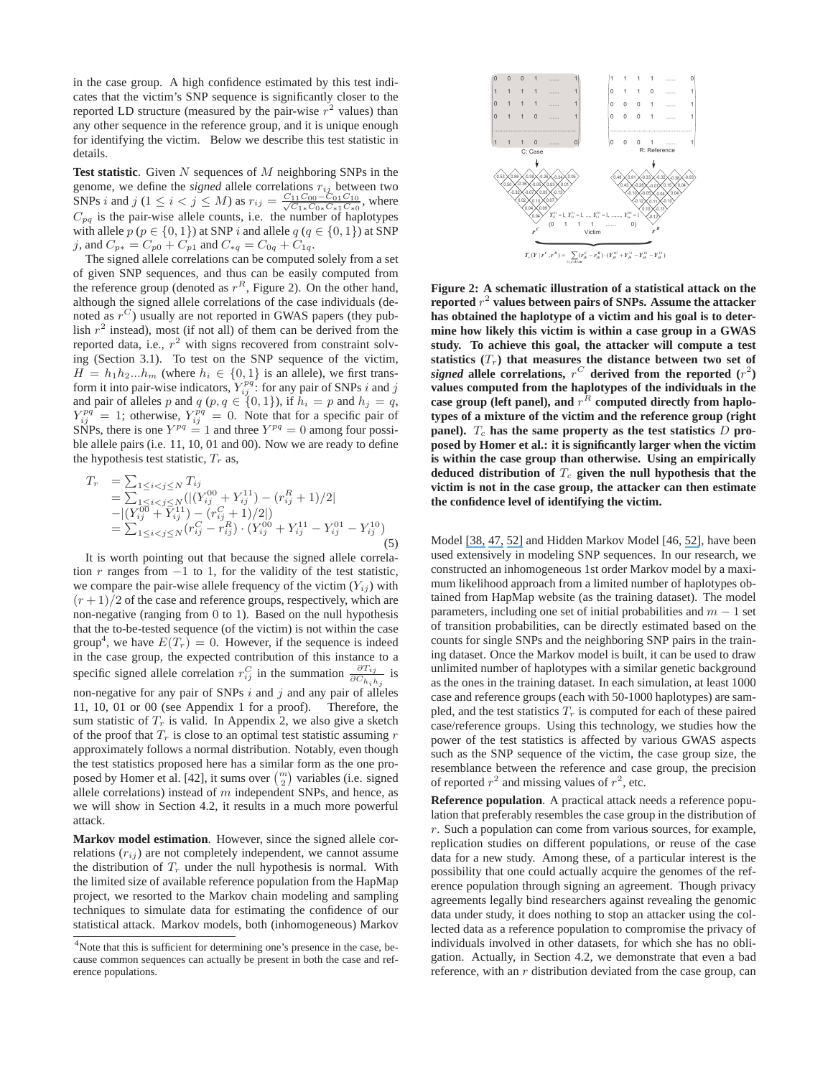in the case group. A high confidence estimated by this test indicates that the victim's SNP sequence is significantly closer to the reported LD structure (measured by the pair-wise  $r^2$  values) than any other sequence in the reference group, and it is unique enough for identifying the victim. Below we describe this test statistic in details.

**Test statistic.** Given N sequences of M neighboring SNPs in the genome, we define the signed allele correlations  $r_{\text{II}}$  between two genome, we define the *signed* allele correlations  $r_{ij}$  between two<br>SNPs *i* and *i*  $(1 \le i \le i \le M)$  as  $r_{ij} = \frac{C_{11}C_{00} - C_{01}C_{10}}{C_{10}}$  where SNPs i and j (1 ≤ i < j ≤ M) as  $r_{ij} = \frac{C_{11}C_{00} - C_{01}C_{10}}{\sqrt{C_{1*}C_{0*}C_{*1}C_{*0}}}$ , where  $C_{pq}$  is the pair-wise allele counts, i.e. the number of haplotypes with allele  $p (p \in \{0, 1\})$  at SNP i and allele  $q (q \in \{0, 1\})$  at SNP j, and  $C_{p*} = C_{p0} + C_{p1}$  and  $C_{*q} = C_{0q} + C_{1q}$ .

The signed allele correlations can be computed solely from a set of given SNP sequences, and thus can be easily computed from the reference group (denoted as  $r^R$ , Figure 2). On the other hand, although the signed allele correlations of the case individuals (denoted as  $r^C$ ) usually are not reported in GWAS papers (they publish  $r^2$  instead), most (if not all) of them can be derived from the reported data, i.e.,  $r^2$  with signs recovered from constraint solving (Section 3.1). To test on the SNP sequence of the victim,  $H = h_1 h_2...h_m$  (where  $h_i \in \{0, 1\}$  is an allele), we first trans-<br>form it into pair-wise indicators  $Y^{pq}$  for any pair of SNPs *i* and *i* form it into pair-wise indicators,  $Y_{ij}^{pq}$ : for any pair of SNPs i and j<br>and pair of alleles n and  $a$  (n  $a \in \{0, 1\}$ ) if  $b_1 = n$  and  $b_2 = a$ and pair of alleles p and  $q$  (p,  $q \in \{0, 1\}$ ), if  $h_i = p$  and  $h_j = q$ ,<br>  $Y^{pq} = 1$ ; otherwise  $Y^{pq} = 0$ . Note that for a specific pair of  $Y_{ij}^{pq} = 1$ ; otherwise,  $Y_{ij}^{pq} = 0$ . Note that for a specific pair of SNPs there is one  $Y^{pq} = 1$  and three  $Y^{pq} = 0$  among four nossi-SNPs, there is one  $Y^{pq} = 1$  and three  $Y^{pq} = 0$  among four possible allele pairs (i.e. 11, 10, 01 and 00). Now we are ready to define ble allele pairs (i.e. 11, 10, 01 and 00). Now we are ready to define the hypothesis test statistic,  $T_r$  as,

$$
T_r = \sum_{1 \le i < j \le N} T_{ij}
$$
  
=  $\sum_{1 \le i < j \le N} (|(Y_{ij}^{00} + Y_{ij}^{11}) - (r_{ij}^R + 1)/2|$   
-  $|(Y_{ij}^{00} + Y_{ij}^{11}) - (r_{ij}^C + 1)/2|)$   
=  $\sum_{1 \le i < j \le N} (r_{ij}^C - r_{ij}^R) \cdot (Y_{ij}^{00} + Y_{ij}^{11} - Y_{ij}^{01} - Y_{ij}^{10})$   
(5)

It is worth pointing out that because the signed allele correlation r ranges from  $-1$  to 1, for the validity of the test statistic, we compare the pair-wise allele frequency of the victim  $(Y_{ij})$  with  $(r+1)/2$  of the case and reference groups, respectively, which are non-negative (ranging from 0 to 1). Based on the null hypothesis that the to-be-tested sequence (of the victim) is not within the case group<sup>4</sup>, we have  $E(T_r) = 0$ . However, if the sequence is indeed group<sup>4</sup>, we have  $E(T_r) = 0$ . However, if the sequence is indeed in the case group, the expected contribution of this instance to a specific signed allele correlation  $r_{ij}^C$  in the summation  $\frac{\partial T_{ij}}{\partial C_{h_i h_j}}$  is non-negative for any pair of SNPs  $i$  and  $j$  and any pair of alleles 11, 10, 01 or 00 (see Appendix 1 for a proof). Therefore, the sum statistic of  $T_r$  is valid. In Appendix 2, we also give a sketch of the proof that  $T_r$  is close to an optimal test statistic assuming r approximately follows a normal distribution. Notably, even though the test statistics proposed here has a similar form as the one proposed by Homer et al. [42], it sums over  $\binom{m}{2}$  variables (i.e. signed allele correlations) instead of  $m$  independent SNPs, and hence, as we will show in Section 4.2, it results in a much more powerful attack.

**Markov model estimation**. However, since the signed allele correlations  $(r_{ij})$  are not completely independent, we cannot assume the distribution of  $T_r$  under the null hypothesis is normal. With the limited size of available reference population from the HapMap project, we resorted to the Markov chain modeling and sampling techniques to simulate data for estimating the confidence of our statistical attack. Markov models, both (inhomogeneous) Markov



**Figure 2: A schematic illustration of a statistical attack on the reported**  $r^2$  **values between pairs of SNPs. Assume the attacker has obtained the haplotype of a victim and his goal is to determine how likely this victim is within a case group in a GWAS study. To achieve this goal, the attacker will compute a test statistics**  $(T_r)$  that measures the distance between two set of signed allele correlations  $r^C$  derived from the reported  $(r^2)$ *signed* allele correlations,  $r^C$  derived from the reported  $(r^2)$ <br>values computed from the haplotypes of the individuals in the **values computed from the haplotypes of the individuals in the** case group (left panel), and  $r^R$  computed directly from haplo**types of a mixture of the victim and the reference group (right panel).**  $T_c$  has the same property as the test statistics  $D$  **proposed by Homer et al.: it is significantly larger when the victim is within the case group than otherwise. Using an empirically** deduced distribution of  $T_c$  given the null hypothesis that the **victim is not in the case group, the attacker can then estimate the confidence level of identifying the victim.**

Model [\[38,](https://www.researchgate.net/publication/7409596_Modeling_Haplotype_Block_Variation_Using_Markov_Chains?el=1_x_8&enrichId=rgreq-ed46c1f516e579eea4f21d145b4a598d-XXX&enrichSource=Y292ZXJQYWdlOzIyMTYwOTE5NDtBUzoxMDM2OTY3NzE4NDYxNTJAMTQwMTczNDY0NTU4Ng==) [47,](https://www.researchgate.net/publication/5304507_Measuring_and_partitioning_the_high-order_linkage_disequilibrium_by_multiple_order_Markov_chains?el=1_x_8&enrichId=rgreq-ed46c1f516e579eea4f21d145b4a598d-XXX&enrichSource=Y292ZXJQYWdlOzIyMTYwOTE5NDtBUzoxMDM2OTY3NzE4NDYxNTJAMTQwMTczNDY0NTU4Ng==) [52\]](https://www.researchgate.net/publication/8625569_Little_Loss_of_Information_Due_to_Unknown_Phase_for_Fine-Scale_Linkage-Disequilibrium_Mapping_with_Single-Nucleotide-Polymorphism_Genotype_Data?el=1_x_8&enrichId=rgreq-ed46c1f516e579eea4f21d145b4a598d-XXX&enrichSource=Y292ZXJQYWdlOzIyMTYwOTE5NDtBUzoxMDM2OTY3NzE4NDYxNTJAMTQwMTczNDY0NTU4Ng==) and Hidden Markov Model [46, [52\]](https://www.researchgate.net/publication/8625569_Little_Loss_of_Information_Due_to_Unknown_Phase_for_Fine-Scale_Linkage-Disequilibrium_Mapping_with_Single-Nucleotide-Polymorphism_Genotype_Data?el=1_x_8&enrichId=rgreq-ed46c1f516e579eea4f21d145b4a598d-XXX&enrichSource=Y292ZXJQYWdlOzIyMTYwOTE5NDtBUzoxMDM2OTY3NzE4NDYxNTJAMTQwMTczNDY0NTU4Ng==), have been used extensively in modeling SNP sequences. In our research, we constructed an inhomogeneous 1st order Markov model by a maximum likelihood approach from a limited number of haplotypes obtained from HapMap website (as the training dataset). The model parameters, including one set of initial probabilities and  $m - 1$  set of transition probabilities, can be directly estimated based on the counts for single SNPs and the neighboring SNP pairs in the training dataset. Once the Markov model is built, it can be used to draw unlimited number of haplotypes with a similar genetic background as the ones in the training dataset. In each simulation, at least 1000 case and reference groups (each with 50-1000 haplotypes) are sampled, and the test statistics  $T_r$  is computed for each of these paired case/reference groups. Using this technology, we studies how the power of the test statistics is affected by various GWAS aspects such as the SNP sequence of the victim, the case group size, the resemblance between the reference and case group, the precision of reported  $r^2$  and missing values of  $r^2$ , etc.

**Reference population**. A practical attack needs a reference population that preferably resembles the case group in the distribution of r. Such a population can come from various sources, for example, replication studies on different populations, or reuse of the case data for a new study. Among these, of a particular interest is the possibility that one could actually acquire the genomes of the reference population through signing an agreement. Though privacy agreements legally bind researchers against revealing the genomic data under study, it does nothing to stop an attacker using the collected data as a reference population to compromise the privacy of individuals involved in other datasets, for which she has no obligation. Actually, in Section 4.2, we demonstrate that even a bad reference, with an  $r$  distribution deviated from the case group, can

<sup>&</sup>lt;sup>4</sup>Note that this is sufficient for determining one's presence in the case, because common sequences can actually be present in both the case and reference populations.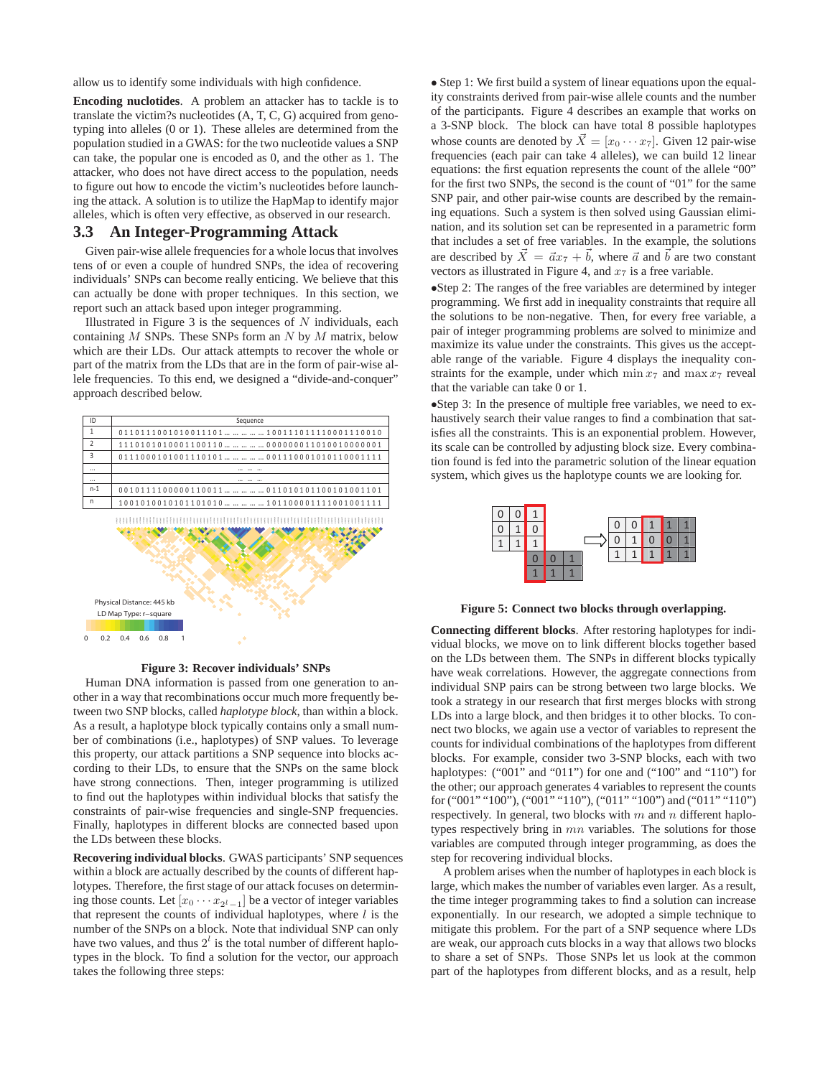allow us to identify some individuals with high confidence.

**Encoding nuclotides**. A problem an attacker has to tackle is to translate the victim?s nucleotides (A, T, C, G) acquired from genotyping into alleles (0 or 1). These alleles are determined from the population studied in a GWAS: for the two nucleotide values a SNP can take, the popular one is encoded as 0, and the other as 1. The attacker, who does not have direct access to the population, needs to figure out how to encode the victim's nucleotides before launching the attack. A solution is to utilize the HapMap to identify major alleles, which is often very effective, as observed in our research.

### **3.3 An Integer-Programming Attack**

Given pair-wise allele frequencies for a whole locus that involves tens of or even a couple of hundred SNPs, the idea of recovering individuals' SNPs can become really enticing. We believe that this can actually be done with proper techniques. In this section, we report such an attack based upon integer programming.

Illustrated in Figure 3 is the sequences of  $N$  individuals, each containing  $M$  SNPs. These SNPs form an  $N$  by  $M$  matrix, below which are their LDs. Our attack attempts to recover the whole or part of the matrix from the LDs that are in the form of pair-wise allele frequencies. To this end, we designed a "divide-and-conquer" approach described below.



**Figure 3: Recover individuals' SNPs**

Human DNA information is passed from one generation to another in a way that recombinations occur much more frequently between two SNP blocks, called *haplotype block*, than within a block. As a result, a haplotype block typically contains only a small number of combinations (i.e., haplotypes) of SNP values. To leverage this property, our attack partitions a SNP sequence into blocks according to their LDs, to ensure that the SNPs on the same block have strong connections. Then, integer programming is utilized to find out the haplotypes within individual blocks that satisfy the constraints of pair-wise frequencies and single-SNP frequencies. Finally, haplotypes in different blocks are connected based upon the LDs between these blocks.

**Recovering individual blocks**. GWAS participants' SNP sequences within a block are actually described by the counts of different haplotypes. Therefore, the first stage of our attack focuses on determining those counts. Let  $[x_0 \cdots x_{2^l-1}]$  be a vector of integer variables that represent the counts of individual haplotypes, where  $l$  is the number of the SNPs on a block. Note that individual SNP can only have two values, and thus  $2<sup>t</sup>$  is the total number of different haplotypes in the block. To find a solution for the vector, our approach takes the following three steps:

• Step 1: We first build a system of linear equations upon the equality constraints derived from pair-wise allele counts and the number of the participants. Figure 4 describes an example that works on a 3-SNP block. The block can have total 8 possible haplotypes whose counts are denoted by  $\vec{X} = [x_0 \cdots x_7]$ . Given 12 pair-wise frequencies (each pair can take 4 alleles), we can build 12 linear equations: the first equation represents the count of the allele "00" for the first two SNPs, the second is the count of "01" for the same SNP pair, and other pair-wise counts are described by the remaining equations. Such a system is then solved using Gaussian elimination, and its solution set can be represented in a parametric form that includes a set of free variables. In the example, the solutions are described by  $\vec{X} = \vec{a}x_7 + \vec{b}$ , where  $\vec{a}$  and  $\vec{b}$  are two constant vectors as illustrated in Figure 4, and  $x_7$  is a free variable.

•Step 2: The ranges of the free variables are determined by integer programming. We first add in inequality constraints that require all the solutions to be non-negative. Then, for every free variable, a pair of integer programming problems are solved to minimize and maximize its value under the constraints. This gives us the acceptable range of the variable. Figure 4 displays the inequality constraints for the example, under which  $\min x_7$  and  $\max x_7$  reveal that the variable can take 0 or 1.

•Step 3: In the presence of multiple free variables, we need to exhaustively search their value ranges to find a combination that satisfies all the constraints. This is an exponential problem. However, its scale can be controlled by adjusting block size. Every combination found is fed into the parametric solution of the linear equation system, which gives us the haplotype counts we are looking for.



**Figure 5: Connect two blocks through overlapping.**

**Connecting different blocks**. After restoring haplotypes for individual blocks, we move on to link different blocks together based on the LDs between them. The SNPs in different blocks typically have weak correlations. However, the aggregate connections from individual SNP pairs can be strong between two large blocks. We took a strategy in our research that first merges blocks with strong LDs into a large block, and then bridges it to other blocks. To connect two blocks, we again use a vector of variables to represent the counts for individual combinations of the haplotypes from different blocks. For example, consider two 3-SNP blocks, each with two haplotypes: ("001" and "011") for one and ("100" and "110") for the other; our approach generates 4 variables to represent the counts for ("001" "100"), ("001" "110"), ("011" "100") and ("011" "110") respectively. In general, two blocks with  $m$  and  $n$  different haplotypes respectively bring in mn variables. The solutions for those variables are computed through integer programming, as does the step for recovering individual blocks.

A problem arises when the number of haplotypes in each block is large, which makes the number of variables even larger. As a result, the time integer programming takes to find a solution can increase exponentially. In our research, we adopted a simple technique to mitigate this problem. For the part of a SNP sequence where LDs are weak, our approach cuts blocks in a way that allows two blocks to share a set of SNPs. Those SNPs let us look at the common part of the haplotypes from different blocks, and as a result, help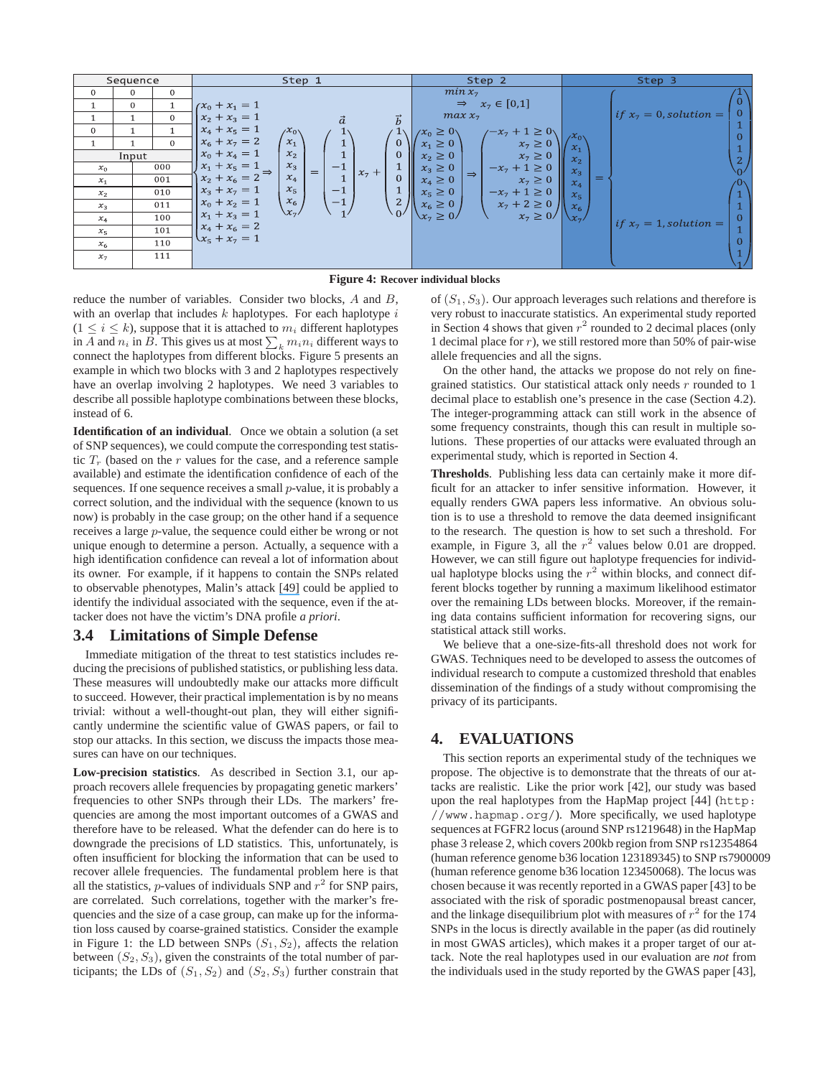|                | Sequence       |                | Step 1                                     |                | Step 2                                                    |                            | Step 3                                |
|----------------|----------------|----------------|--------------------------------------------|----------------|-----------------------------------------------------------|----------------------------|---------------------------------------|
| $\mathbf{0}$   | $\Omega$       | $\mathbf{0}$   |                                            |                | $min x_7$                                                 |                            |                                       |
|                | $\overline{0}$ |                | $rx_0 + x_1 = 1$                           |                | $x_7 \in [0,1]$<br>$\Rightarrow$                          |                            |                                       |
|                |                | $\overline{0}$ | $x_2 + x_3 = 1$                            | $\vec{h}$      | $max x_7$                                                 |                            | if $x_7 = 0$ , solution =<br>$\Omega$ |
| $\mathbf{0}$   |                |                | $x_4 + x_5 = 1$<br>$\chi_{0\lambda}$       |                | $\sqrt{-x_7} + 1 \ge 0$<br>$x_0 \geq 0$                   | $\chi^{\chi}$ <sub>0</sub> |                                       |
|                |                | $\Omega$       | $x_6 + x_7 = 2$<br>$x_1$                   | $\mathbf{0}$   | $x_1 \geq 0$<br>$x_7 \geq 0$                              | $\mathcal{X}_1$            | $\Omega$                              |
|                | Input          |                | $x_0 + x_4 = 1$<br>$x_2$                   | 0              | $x_7 \geq 0$<br>$x_2 \geq 0$                              | $\mathcal{X}_{2}$          |                                       |
| $x_0$          |                | 000            | $x_1 + x_5 = 1$<br>$x_3$<br>$^{-1}$<br>$=$ | $x_7 +$        | $-x_7 + 1 \ge 0$<br>$x_3 \geq 0$<br>$\Rightarrow$         | $x_3$                      |                                       |
| $x_1$          |                | 001            | $x_2 + x_6 = 2$<br>$x_4$                   | 0              | $x_4 \geq 0$<br>$x_7 \geq 0$                              | $=$<br>$x_4$               |                                       |
| $x_2$          |                | 010            | $x_{5}$<br>$-1$<br>$x_3 + x_7 = 1$         |                | $x_5 \geq 0$<br>$-x_7 + 1 \ge 0$                          | $x_{5}$                    |                                       |
| $x_3$          |                | 011            | $x_6$<br>$-1$<br>$x_0 + x_2 = 1$           | 2 <sub>1</sub> | $x_7 + 2 \ge 0$<br>$x_6 \geq 0$                           | $x_6$                      |                                       |
| $x_4$          |                | 100            | $\chi_{7}/$<br>$x_1 + x_3 = 1$             |                | $\left\langle x_{7}\geq 0\right\rangle$<br>$x_7 \geq 0$ / |                            | $\Omega$<br>if $x_7 = 1$ , solution = |
| $x_{5}$        |                | 101            | $x_4 + x_6 = 2$                            |                |                                                           |                            |                                       |
| x <sub>6</sub> |                | 110            | $x_5 + x_7 = 1$                            |                |                                                           |                            |                                       |
| $x_7$          |                | 111            |                                            |                |                                                           |                            |                                       |
|                |                |                |                                            |                |                                                           |                            |                                       |

**Figure 4: Recover individual blocks**

reduce the number of variables. Consider two blocks, A and B, with an overlap that includes  $k$  haplotypes. For each haplotype  $i$  $(1 \le i \le k)$ , suppose that it is attached to  $m_i$  different haplotypes in A and  $n_i$  in B. This gives us at most  $\sum_k m_i n_i$  different ways to connect the hanlotypes from different blocks. Figure 5 presents an connect the haplotypes from different blocks. Figure 5 presents an example in which two blocks with 3 and 2 haplotypes respectively have an overlap involving 2 haplotypes. We need 3 variables to describe all possible haplotype combinations between these blocks, instead of 6.

**Identification of an individual**. Once we obtain a solution (a set of SNP sequences), we could compute the corresponding test statistic  $T_r$  (based on the r values for the case, and a reference sample available) and estimate the identification confidence of each of the sequences. If one sequence receives a small  $p$ -value, it is probably a correct solution, and the individual with the sequence (known to us now) is probably in the case group; on the other hand if a sequence receives a large p-value, the sequence could either be wrong or not unique enough to determine a person. Actually, a sequence with a high identification confidence can reveal a lot of information about its owner. For example, if it happens to contain the SNPs related to observable phenotypes, Malin's attack [\[49\]](https://www.researchgate.net/publication/6565452_Re-identification_of_familial_database_records?el=1_x_8&enrichId=rgreq-ed46c1f516e579eea4f21d145b4a598d-XXX&enrichSource=Y292ZXJQYWdlOzIyMTYwOTE5NDtBUzoxMDM2OTY3NzE4NDYxNTJAMTQwMTczNDY0NTU4Ng==) could be applied to identify the individual associated with the sequence, even if the attacker does not have the victim's DNA profile *a priori*.

## **3.4 Limitations of Simple Defense**

Immediate mitigation of the threat to test statistics includes reducing the precisions of published statistics, or publishing less data. These measures will undoubtedly make our attacks more difficult to succeed. However, their practical implementation is by no means trivial: without a well-thought-out plan, they will either significantly undermine the scientific value of GWAS papers, or fail to stop our attacks. In this section, we discuss the impacts those measures can have on our techniques.

**Low-precision statistics**. As described in Section 3.1, our approach recovers allele frequencies by propagating genetic markers' frequencies to other SNPs through their LDs. The markers' frequencies are among the most important outcomes of a GWAS and therefore have to be released. What the defender can do here is to downgrade the precisions of LD statistics. This, unfortunately, is often insufficient for blocking the information that can be used to recover allele frequencies. The fundamental problem here is that all the statistics, *p*-values of individuals SNP and  $r^2$  for SNP pairs, are correlated. Such correlations, together with the marker's frequencies and the size of a case group, can make up for the information loss caused by coarse-grained statistics. Consider the example in Figure 1: the LD between SNPs  $(S_1, S_2)$ , affects the relation between  $(S_2, S_3)$ , given the constraints of the total number of participants; the LDs of  $(S_1, S_2)$  and  $(S_2, S_3)$  further constrain that of  $(S_1, S_3)$ . Our approach leverages such relations and therefore is very robust to inaccurate statistics. An experimental study reported in Section 4 shows that given  $r^2$  rounded to 2 decimal places (only 1 decimal place for  $r$ ), we still restored more than 50% of pair-wise allele frequencies and all the signs.

On the other hand, the attacks we propose do not rely on finegrained statistics. Our statistical attack only needs  $r$  rounded to 1 decimal place to establish one's presence in the case (Section 4.2). The integer-programming attack can still work in the absence of some frequency constraints, though this can result in multiple solutions. These properties of our attacks were evaluated through an experimental study, which is reported in Section 4.

**Thresholds**. Publishing less data can certainly make it more difficult for an attacker to infer sensitive information. However, it equally renders GWA papers less informative. An obvious solution is to use a threshold to remove the data deemed insignificant to the research. The question is how to set such a threshold. For example, in Figure 3, all the  $r^2$  values below 0.01 are dropped. However, we can still figure out haplotype frequencies for individual haplotype blocks using the  $r^2$  within blocks, and connect different blocks together by running a maximum likelihood estimator over the remaining LDs between blocks. Moreover, if the remaining data contains sufficient information for recovering signs, our statistical attack still works.

We believe that a one-size-fits-all threshold does not work for GWAS. Techniques need to be developed to assess the outcomes of individual research to compute a customized threshold that enables dissemination of the findings of a study without compromising the privacy of its participants.

## **4. EVALUATIONS**

This section reports an experimental study of the techniques we propose. The objective is to demonstrate that the threats of our attacks are realistic. Like the prior work [42], our study was based upon the real haplotypes from the HapMap project [44] (http: //www.hapmap.org/). More specifically, we used haplotype sequences at FGFR2 locus (around SNP rs1219648) in the HapMap phase 3 release 2, which covers 200kb region from SNP rs12354864 (human reference genome b36 location 123189345) to SNP rs7900009 (human reference genome b36 location 123450068). The locus was chosen because it was recently reported in a GWAS paper [43] to be associated with the risk of sporadic postmenopausal breast cancer, and the linkage disequilibrium plot with measures of  $r^2$  for the 174 SNPs in the locus is directly available in the paper (as did routinely in most GWAS articles), which makes it a proper target of our attack. Note the real haplotypes used in our evaluation are *not* from the individuals used in the study reported by the GWAS paper [43],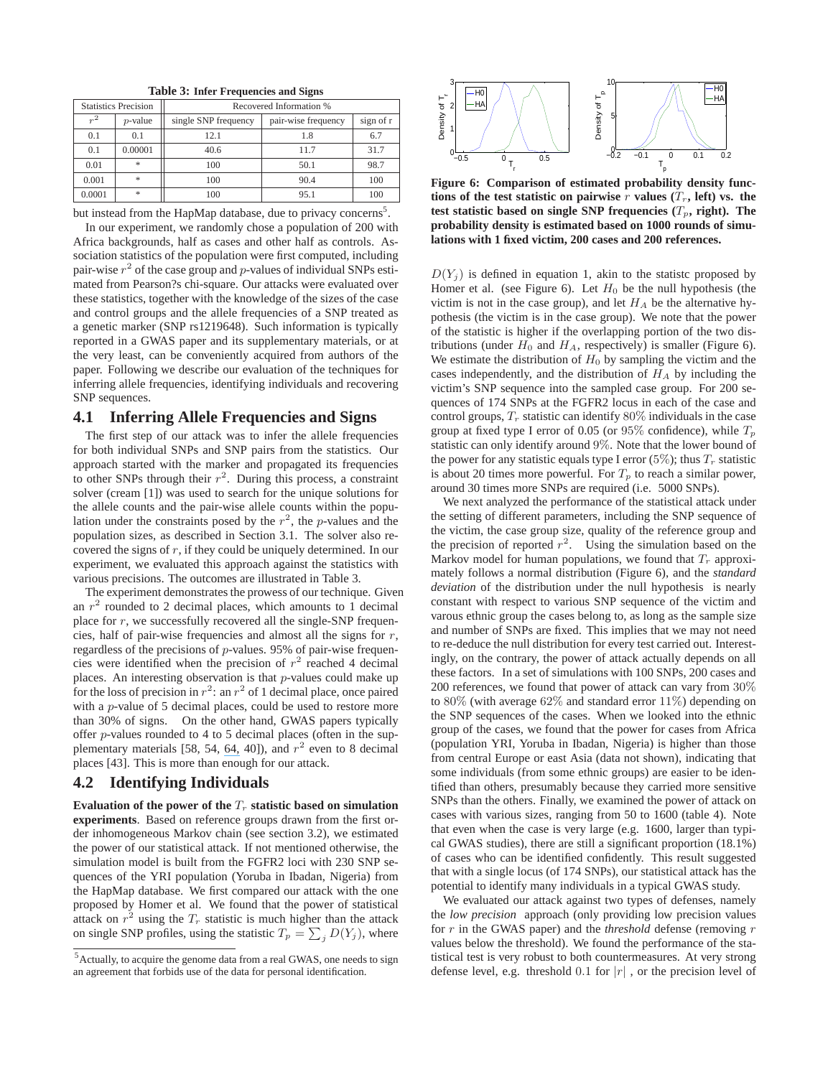|        | . .                               |                         |                     |           |  |  |  |  |  |  |
|--------|-----------------------------------|-------------------------|---------------------|-----------|--|--|--|--|--|--|
|        | <b>Statistics Precision</b>       | Recovered Information % |                     |           |  |  |  |  |  |  |
| $r^2$  | $p$ -value                        | single SNP frequency    | pair-wise frequency | sign of r |  |  |  |  |  |  |
| 0.1    | 0.1                               | 12.1                    | 1.8                 | 6.7       |  |  |  |  |  |  |
| 0.1    | 0.00001                           | 40.6                    | 11.7                | 31.7      |  |  |  |  |  |  |
| 0.01   | $\frac{1}{2\sqrt{3}}$             | 100                     | 50.1                | 98.7      |  |  |  |  |  |  |
| 0.001  | $\mathcal{R}$                     | 100                     | 90.4                | 100       |  |  |  |  |  |  |
| 0.0001 | $\frac{d\mathbf{r}}{d\mathbf{x}}$ | 100                     | 95.1                | 100       |  |  |  |  |  |  |

**Table 3: Infer Frequencies and Signs**

but instead from the HapMap database, due to privacy concerns<sup>5</sup>.

In our experiment, we randomly chose a population of 200 with Africa backgrounds, half as cases and other half as controls. Association statistics of the population were first computed, including pair-wise  $r^2$  of the case group and p-values of individual SNPs estimated from Pearson?s chi-square. Our attacks were evaluated over these statistics, together with the knowledge of the sizes of the case and control groups and the allele frequencies of a SNP treated as a genetic marker (SNP rs1219648). Such information is typically reported in a GWAS paper and its supplementary materials, or at the very least, can be conveniently acquired from authors of the paper. Following we describe our evaluation of the techniques for inferring allele frequencies, identifying individuals and recovering SNP sequences.

## **4.1 Inferring Allele Frequencies and Signs**

The first step of our attack was to infer the allele frequencies for both individual SNPs and SNP pairs from the statistics. Our approach started with the marker and propagated its frequencies to other SNPs through their  $r^2$ . During this process, a constraint solver (cream [1]) was used to search for the unique solutions for the allele counts and the pair-wise allele counts within the population under the constraints posed by the  $r^2$ , the p-values and the population sizes, as described in Section 3.1. The solver also recovered the signs of  $r$ , if they could be uniquely determined. In our experiment, we evaluated this approach against the statistics with various precisions. The outcomes are illustrated in Table 3.

The experiment demonstrates the prowess of our technique. Given an  $r^2$  rounded to 2 decimal places, which amounts to 1 decimal place for  $r$ , we successfully recovered all the single-SNP frequencies, half of pair-wise frequencies and almost all the signs for  $r$ , regardless of the precisions of p-values. 95% of pair-wise frequencies were identified when the precision of  $r^2$  reached 4 decimal places. An interesting observation is that  $p$ -values could make up for the loss of precision in  $r^2$ : an  $r^2$  of 1 decimal place, once paired with a p-value of 5 decimal places, could be used to restore more than 30% of signs. On the other hand, GWAS papers typically offer p-values rounded to 4 to 5 decimal places (often in the sup-plementary materials [58, 54, [64,](https://www.researchgate.net/publication/278262276_Replication_of_genome-wide_association_signals_in_UK_samples_reveals_risk_loci_for_type_2_diabetes_June_pg_1336_2007?el=1_x_8&enrichId=rgreq-ed46c1f516e579eea4f21d145b4a598d-XXX&enrichSource=Y292ZXJQYWdlOzIyMTYwOTE5NDtBUzoxMDM2OTY3NzE4NDYxNTJAMTQwMTczNDY0NTU4Ng==) 40]), and  $r^2$  even to 8 decimal places [43]. This is more than enough for our attack.

## **4.2 Identifying Individuals**

Evaluation of the power of the  $T_r$  statistic based on simulation **experiments**. Based on reference groups drawn from the first order inhomogeneous Markov chain (see section 3.2), we estimated the power of our statistical attack. If not mentioned otherwise, the simulation model is built from the FGFR2 loci with 230 SNP sequences of the YRI population (Yoruba in Ibadan, Nigeria) from the HapMap database. We first compared our attack with the one proposed by Homer et al. We found that the power of statistical attack on  $r^2$  using the  $T_r$  statistic is much higher than the attack on single SNP profiles, using the statistic  $T_p = \sum_j D(Y_j)$ , where



**Figure 6: Comparison of estimated probability density functions of the test statistic on pairwise** r **values**  $(T_r, \text{ left})$  **vs.** the test statistic based on single SNP frequencies  $(T_p,$  right). The **probability density is estimated based on 1000 rounds of simulations with 1 fixed victim, 200 cases and 200 references.**

 $D(Y_i)$  is defined in equation 1, akin to the statistc proposed by Homer et al. (see Figure 6). Let  $H_0$  be the null hypothesis (the victim is not in the case group), and let  $H_A$  be the alternative hypothesis (the victim is in the case group). We note that the power of the statistic is higher if the overlapping portion of the two distributions (under  $H_0$  and  $H_A$ , respectively) is smaller (Figure 6). We estimate the distribution of  $H_0$  by sampling the victim and the cases independently, and the distribution of  $H_A$  by including the victim's SNP sequence into the sampled case group. For 200 sequences of 174 SNPs at the FGFR2 locus in each of the case and control groups,  $T_r$  statistic can identify 80% individuals in the case group at fixed type I error of 0.05 (or 95% confidence), while  $T_p$ statistic can only identify around 9%. Note that the lower bound of the power for any statistic equals type I error (5%); thus  $T_r$  statistic is about 20 times more powerful. For  $T_p$  to reach a similar power, around 30 times more SNPs are required (i.e. 5000 SNPs).

We next analyzed the performance of the statistical attack under the setting of different parameters, including the SNP sequence of the victim, the case group size, quality of the reference group and the precision of reported  $r^2$ . Using the simulation based on the Markov model for human populations, we found that  $T_r$  approximately follows a normal distribution (Figure 6), and the *standard deviation* of the distribution under the null hypothesis is nearly constant with respect to various SNP sequence of the victim and varous ethnic group the cases belong to, as long as the sample size and number of SNPs are fixed. This implies that we may not need to re-deduce the null distribution for every test carried out. Interestingly, on the contrary, the power of attack actually depends on all these factors. In a set of simulations with 100 SNPs, 200 cases and 200 references, we found that power of attack can vary from 30% to 80% (with average 62% and standard error 11%) depending on the SNP sequences of the cases. When we looked into the ethnic group of the cases, we found that the power for cases from Africa (population YRI, Yoruba in Ibadan, Nigeria) is higher than those from central Europe or east Asia (data not shown), indicating that some individuals (from some ethnic groups) are easier to be identified than others, presumably because they carried more sensitive SNPs than the others. Finally, we examined the power of attack on cases with various sizes, ranging from 50 to 1600 (table 4). Note that even when the case is very large (e.g. 1600, larger than typical GWAS studies), there are still a significant proportion (18.1%) of cases who can be identified confidently. This result suggested that with a single locus (of 174 SNPs), our statistical attack has the potential to identify many individuals in a typical GWAS study.

We evaluated our attack against two types of defenses, namely the *low precision* approach (only providing low precision values for r in the GWAS paper) and the *threshold* defense (removing r values below the threshold). We found the performance of the statistical test is very robust to both countermeasures. At very strong defense level, e.g. threshold 0.1 for  $|r|$ , or the precision level of

<sup>&</sup>lt;sup>5</sup> Actually, to acquire the genome data from a real GWAS, one needs to sign an agreement that forbids use of the data for personal identification.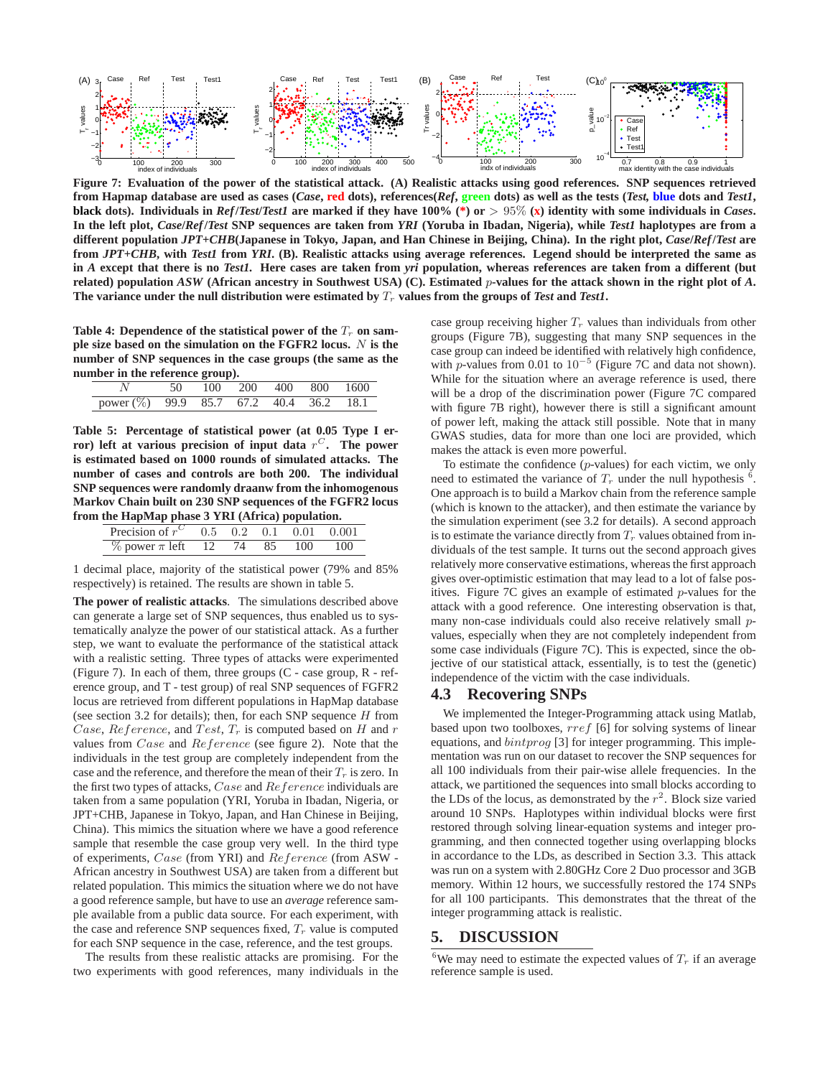

**Figure 7: Evaluation of the power of the statistical attack. (A) Realistic attacks using good references. SNP sequences retrieved** from Hapmap database are used as cases (Case, red dots), references(Ref, green dots) as well as the tests (Test, blue dots and Test1, **black** dots). Individuals in  $Ref/Test/Test$  are marked if they have 100% (\*) or  $> 95\%$  (x) identity with some individuals in *Cases*. **In the left plot,** *Case***/***Ref***/***Test* **SNP sequences are taken from** *YRI* **(Yoruba in Ibadan, Nigeria), while** *Test1* **haplotypes are from a different population** *JPT+CHB***(Japanese in Tokyo, Japan, and Han Chinese in Beijing, China). In the right plot,** *Case***/***Ref***/***Test* **are from** *JPT+CHB***, with** *Test1* **from** *YRI***. (B). Realistic attacks using average references. Legend should be interpreted the same as in** *A* **except that there is no** *Test1.* **Here cases are taken from** *yri* **population, whereas references are taken from a different (but related) population** *ASW* **(African ancestry in Southwest USA) (C). Estimated** p**-values for the attack shown in the right plot of** *<sup>A</sup>***.** The variance under the null distribution were estimated by  $T_r$  values from the groups of *Test* and *Test1***.** 

Table 4: Dependence of the statistical power of the  $T_r$  on sam**ple size based on the simulation on the FGFR2 locus.** N **is the number of SNP sequences in the case groups (the same as the number in the reference group).**

|                                            | 50 100 200 400 800 1600 |  |  |  |
|--------------------------------------------|-------------------------|--|--|--|
| power $(\%)$ 99.9 85.7 67.2 40.4 36.2 18.1 |                         |  |  |  |

**Table 5: Percentage of statistical power (at 0.05 Type I error)** left at various precision of input data  $r^C$ . The power **is estimated based on 1000 rounds of simulated attacks. The number of cases and controls are both 200. The individual SNP sequences were randomly draanw from the inhomogenous Markov Chain built on 230 SNP sequences of the FGFR2 locus from the HapMap phase 3 YRI (Africa) population.**

| Precision of $r^C$ 0.5 0.2 0.1 0.01 |  |       |     | 0.001 |
|-------------------------------------|--|-------|-----|-------|
| $\%$ power $\pi$ left 12            |  | 74 85 | 100 | 100   |
|                                     |  |       |     |       |

1 decimal place, majority of the statistical power (79% and 85% respectively) is retained. The results are shown in table 5.

**The power of realistic attacks**. The simulations described above can generate a large set of SNP sequences, thus enabled us to systematically analyze the power of our statistical attack. As a further step, we want to evaluate the performance of the statistical attack with a realistic setting. Three types of attacks were experimented (Figure 7). In each of them, three groups (C - case group, R - reference group, and T - test group) of real SNP sequences of FGFR2 locus are retrieved from different populations in HapMap database (see section 3.2 for details); then, for each SNP sequence  $H$  from Case, Reference, and Test,  $T_r$  is computed based on H and r values from Case and Reference (see figure 2). Note that the individuals in the test group are completely independent from the case and the reference, and therefore the mean of their  $T_r$  is zero. In the first two types of attacks, Case and Reference individuals are taken from a same population (YRI, Yoruba in Ibadan, Nigeria, or JPT+CHB, Japanese in Tokyo, Japan, and Han Chinese in Beijing, China). This mimics the situation where we have a good reference sample that resemble the case group very well. In the third type of experiments, Case (from YRI) and Reference (from ASW - African ancestry in Southwest USA) are taken from a different but related population. This mimics the situation where we do not have a good reference sample, but have to use an *average* reference sample available from a public data source. For each experiment, with the case and reference SNP sequences fixed,  $T_r$  value is computed for each SNP sequence in the case, reference, and the test groups.

The results from these realistic attacks are promising. For the two experiments with good references, many individuals in the case group receiving higher  $T_r$  values than individuals from other groups (Figure 7B), suggesting that many SNP sequences in the case group can indeed be identified with relatively high confidence, with p-values from 0.01 to  $10^{-5}$  (Figure 7C and data not shown). While for the situation where an average reference is used, there will be a drop of the discrimination power (Figure 7C compared with figure 7B right), however there is still a significant amount of power left, making the attack still possible. Note that in many GWAS studies, data for more than one loci are provided, which makes the attack is even more powerful.

To estimate the confidence  $(p$ -values) for each victim, we only need to estimated the variance of  $T_r$  under the null hypothesis <sup>6</sup>.<br>One approach is to build a Markov chain from the reference sample One approach is to build a Markov chain from the reference sample (which is known to the attacker), and then estimate the variance by the simulation experiment (see 3.2 for details). A second approach is to estimate the variance directly from  $T_r$  values obtained from individuals of the test sample. It turns out the second approach gives relatively more conservative estimations, whereas the first approach gives over-optimistic estimation that may lead to a lot of false positives. Figure 7C gives an example of estimated p-values for the attack with a good reference. One interesting observation is that, many non-case individuals could also receive relatively small pvalues, especially when they are not completely independent from some case individuals (Figure 7C). This is expected, since the objective of our statistical attack, essentially, is to test the (genetic) independence of the victim with the case individuals.

## **4.3 Recovering SNPs**

We implemented the Integer-Programming attack using Matlab, based upon two toolboxes, rref [6] for solving systems of linear equations, and bintprog [3] for integer programming. This implementation was run on our dataset to recover the SNP sequences for all 100 individuals from their pair-wise allele frequencies. In the attack, we partitioned the sequences into small blocks according to the LDs of the locus, as demonstrated by the  $r^2$ . Block size varied around 10 SNPs. Haplotypes within individual blocks were first restored through solving linear-equation systems and integer programming, and then connected together using overlapping blocks in accordance to the LDs, as described in Section 3.3. This attack was run on a system with 2.80GHz Core 2 Duo processor and 3GB memory. Within 12 hours, we successfully restored the 174 SNPs for all 100 participants. This demonstrates that the threat of the integer programming attack is realistic.

## **5. DISCUSSION**

<sup>6</sup>We may need to estimate the expected values of  $T_r$  if an average reference sample is used. reference sample is used.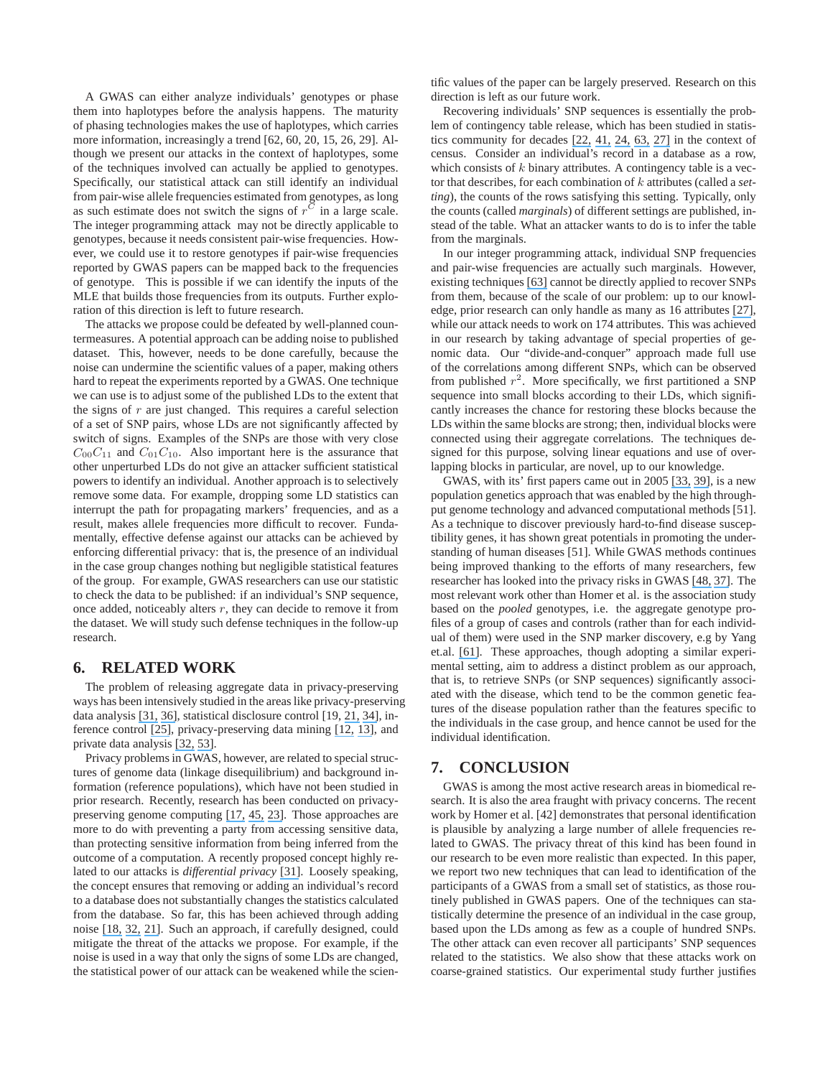A GWAS can either analyze individuals' genotypes or phase them into haplotypes before the analysis happens. The maturity of phasing technologies makes the use of haplotypes, which carries more information, increasingly a trend [62, 60, 20, 15, 26, 29]. Although we present our attacks in the context of haplotypes, some of the techniques involved can actually be applied to genotypes. Specifically, our statistical attack can still identify an individual from pair-wise allele frequencies estimated from genotypes, as long as such estimate does not switch the signs of  $r^C$  in a large scale. The integer programming attack may not be directly applicable to genotypes, because it needs consistent pair-wise frequencies. However, we could use it to restore genotypes if pair-wise frequencies reported by GWAS papers can be mapped back to the frequencies of genotype. This is possible if we can identify the inputs of the MLE that builds those frequencies from its outputs. Further exploration of this direction is left to future research.

The attacks we propose could be defeated by well-planned countermeasures. A potential approach can be adding noise to published dataset. This, however, needs to be done carefully, because the noise can undermine the scientific values of a paper, making others hard to repeat the experiments reported by a GWAS. One technique we can use is to adjust some of the published LDs to the extent that the signs of  $r$  are just changed. This requires a careful selection of a set of SNP pairs, whose LDs are not significantly affected by switch of signs. Examples of the SNPs are those with very close  $C_{00}C_{11}$  and  $C_{01}C_{10}$ . Also important here is the assurance that other unperturbed LDs do not give an attacker sufficient statistical powers to identify an individual. Another approach is to selectively remove some data. For example, dropping some LD statistics can interrupt the path for propagating markers' frequencies, and as a result, makes allele frequencies more difficult to recover. Fundamentally, effective defense against our attacks can be achieved by enforcing differential privacy: that is, the presence of an individual in the case group changes nothing but negligible statistical features of the group. For example, GWAS researchers can use our statistic to check the data to be published: if an individual's SNP sequence, once added, noticeably alters  $r$ , they can decide to remove it from the dataset. We will study such defense techniques in the follow-up research.

## **6. RELATED WORK**

The problem of releasing aggregate data in privacy-preserving ways has been intensively studied in the areas like privacy-preserving data analysis [\[31,](https://www.researchgate.net/publication/225451636_Differential_Privacy?el=1_x_8&enrichId=rgreq-ed46c1f516e579eea4f21d145b4a598d-XXX&enrichSource=Y292ZXJQYWdlOzIyMTYwOTE5NDtBUzoxMDM2OTY3NzE4NDYxNTJAMTQwMTczNDY0NTU4Ng==) [36\]](https://www.researchgate.net/publication/4234765_Models_and_Methods_for_Privacy-Preserving_Data_Analysis_and_Publishing?el=1_x_8&enrichId=rgreq-ed46c1f516e579eea4f21d145b4a598d-XXX&enrichSource=Y292ZXJQYWdlOzIyMTYwOTE5NDtBUzoxMDM2OTY3NzE4NDYxNTJAMTQwMTczNDY0NTU4Ng==), statistical disclosure control [19, [21,](https://www.researchgate.net/publication/221559370_Practical_privacy_The_SulQ_framework?el=1_x_8&enrichId=rgreq-ed46c1f516e579eea4f21d145b4a598d-XXX&enrichSource=Y292ZXJQYWdlOzIyMTYwOTE5NDtBUzoxMDM2OTY3NzE4NDYxNTJAMTQwMTczNDY0NTU4Ng==) [34\]](https://www.researchgate.net/publication/228726328_Datamining_and_disclosure_limitation_for_categorical_statistical_databases?el=1_x_8&enrichId=rgreq-ed46c1f516e579eea4f21d145b4a598d-XXX&enrichSource=Y292ZXJQYWdlOzIyMTYwOTE5NDtBUzoxMDM2OTY3NzE4NDYxNTJAMTQwMTczNDY0NTU4Ng==), inference control [\[25\]](https://www.researchgate.net/publication/3189560_Auditing_and_Inference_Control_in_Statistical_Databases?el=1_x_8&enrichId=rgreq-ed46c1f516e579eea4f21d145b4a598d-XXX&enrichSource=Y292ZXJQYWdlOzIyMTYwOTE5NDtBUzoxMDM2OTY3NzE4NDYxNTJAMTQwMTczNDY0NTU4Ng==), privacy-preserving data mining [\[12,](https://www.researchgate.net/publication/2407250_On_the_Design_and_Quantification_of_Privacy_Preserving_Data_Mining_Algorithms?el=1_x_8&enrichId=rgreq-ed46c1f516e579eea4f21d145b4a598d-XXX&enrichSource=Y292ZXJQYWdlOzIyMTYwOTE5NDtBUzoxMDM2OTY3NzE4NDYxNTJAMTQwMTczNDY0NTU4Ng==) [13\]](https://www.researchgate.net/publication/262235629_Privacy-preserving_data_mining?el=1_x_8&enrichId=rgreq-ed46c1f516e579eea4f21d145b4a598d-XXX&enrichSource=Y292ZXJQYWdlOzIyMTYwOTE5NDtBUzoxMDM2OTY3NzE4NDYxNTJAMTQwMTczNDY0NTU4Ng==), and private data analysis [\[32,](https://www.researchgate.net/publication/225124717_Calibrating_Noise_to_Sensitivity_in_Private_Data_Analysis?el=1_x_8&enrichId=rgreq-ed46c1f516e579eea4f21d145b4a598d-XXX&enrichSource=Y292ZXJQYWdlOzIyMTYwOTE5NDtBUzoxMDM2OTY3NzE4NDYxNTJAMTQwMTczNDY0NTU4Ng==) [53\]](https://www.researchgate.net/publication/221591259_Smooth_sensitivity_and_sampling_in_private_data_analysis?el=1_x_8&enrichId=rgreq-ed46c1f516e579eea4f21d145b4a598d-XXX&enrichSource=Y292ZXJQYWdlOzIyMTYwOTE5NDtBUzoxMDM2OTY3NzE4NDYxNTJAMTQwMTczNDY0NTU4Ng==).

Privacy problems in GWAS, however, are related to special structures of genome data (linkage disequilibrium) and background information (reference populations), which have not been studied in prior research. Recently, research has been conducted on privacypreserving genome computing [\[17,](https://www.researchgate.net/publication/2882256_Secure_and_Private_Sequence_Comparisons?el=1_x_8&enrichId=rgreq-ed46c1f516e579eea4f21d145b4a598d-XXX&enrichSource=Y292ZXJQYWdlOzIyMTYwOTE5NDtBUzoxMDM2OTY3NzE4NDYxNTJAMTQwMTczNDY0NTU4Ng==) [45,](https://www.researchgate.net/publication/4339948_Towards_Practical_Privacy_for_Genomic_Computation?el=1_x_8&enrichId=rgreq-ed46c1f516e579eea4f21d145b4a598d-XXX&enrichSource=Y292ZXJQYWdlOzIyMTYwOTE5NDtBUzoxMDM2OTY3NzE4NDYxNTJAMTQwMTczNDY0NTU4Ng==) [23\]](https://www.researchgate.net/publication/220335801_Privacy-Preserving_Matching_of_DNA_Profiles?el=1_x_8&enrichId=rgreq-ed46c1f516e579eea4f21d145b4a598d-XXX&enrichSource=Y292ZXJQYWdlOzIyMTYwOTE5NDtBUzoxMDM2OTY3NzE4NDYxNTJAMTQwMTczNDY0NTU4Ng==). Those approaches are more to do with preventing a party from accessing sensitive data, than protecting sensitive information from being inferred from the outcome of a computation. A recently proposed concept highly related to our attacks is *differential privacy* [\[31\]](https://www.researchgate.net/publication/225451636_Differential_Privacy?el=1_x_8&enrichId=rgreq-ed46c1f516e579eea4f21d145b4a598d-XXX&enrichSource=Y292ZXJQYWdlOzIyMTYwOTE5NDtBUzoxMDM2OTY3NzE4NDYxNTJAMTQwMTczNDY0NTU4Ng==). Loosely speaking, the concept ensures that removing or adding an individual's record to a database does not substantially changes the statistics calculated from the database. So far, this has been achieved through adding noise [\[18,](https://www.researchgate.net/publication/221559358_Privacy_Accuracy_and_Consistency_Too_A_Holistic_Solution_to_Contingency_Table_Release?el=1_x_8&enrichId=rgreq-ed46c1f516e579eea4f21d145b4a598d-XXX&enrichSource=Y292ZXJQYWdlOzIyMTYwOTE5NDtBUzoxMDM2OTY3NzE4NDYxNTJAMTQwMTczNDY0NTU4Ng==) [32,](https://www.researchgate.net/publication/225124717_Calibrating_Noise_to_Sensitivity_in_Private_Data_Analysis?el=1_x_8&enrichId=rgreq-ed46c1f516e579eea4f21d145b4a598d-XXX&enrichSource=Y292ZXJQYWdlOzIyMTYwOTE5NDtBUzoxMDM2OTY3NzE4NDYxNTJAMTQwMTczNDY0NTU4Ng==) [21\]](https://www.researchgate.net/publication/221559370_Practical_privacy_The_SulQ_framework?el=1_x_8&enrichId=rgreq-ed46c1f516e579eea4f21d145b4a598d-XXX&enrichSource=Y292ZXJQYWdlOzIyMTYwOTE5NDtBUzoxMDM2OTY3NzE4NDYxNTJAMTQwMTczNDY0NTU4Ng==). Such an approach, if carefully designed, could mitigate the threat of the attacks we propose. For example, if the noise is used in a way that only the signs of some LDs are changed, the statistical power of our attack can be weakened while the scientific values of the paper can be largely preserved. Research on this direction is left as our future work.

Recovering individuals' SNP sequences is essentially the problem of contingency table release, which has been studied in statistics community for decades [\[22,](https://www.researchgate.net/publication/247712451_Teoria_Statistica_Delle_Classi_e_Calcolo_Delle_Probabilita?el=1_x_8&enrichId=rgreq-ed46c1f516e579eea4f21d145b4a598d-XXX&enrichSource=Y292ZXJQYWdlOzIyMTYwOTE5NDtBUzoxMDM2OTY3NzE4NDYxNTJAMTQwMTczNDY0NTU4Ng==) [41,](https://www.researchgate.net/publication/247445642_Scale-Invariant_Correlation_Theory?el=1_x_8&enrichId=rgreq-ed46c1f516e579eea4f21d145b4a598d-XXX&enrichSource=Y292ZXJQYWdlOzIyMTYwOTE5NDtBUzoxMDM2OTY3NzE4NDYxNTJAMTQwMTczNDY0NTU4Ng==) [24,](https://www.researchgate.net/publication/4741702_Sequential_Monte_Carlo_Methods_for_Statistical_Analysis_of_Table?el=1_x_8&enrichId=rgreq-ed46c1f516e579eea4f21d145b4a598d-XXX&enrichSource=Y292ZXJQYWdlOzIyMTYwOTE5NDtBUzoxMDM2OTY3NzE4NDYxNTJAMTQwMTczNDY0NTU4Ng==) [63,](https://www.researchgate.net/publication/2128223_Sequential_importance_sampling_for_multiway_tables?el=1_x_8&enrichId=rgreq-ed46c1f516e579eea4f21d145b4a598d-XXX&enrichSource=Y292ZXJQYWdlOzIyMTYwOTE5NDtBUzoxMDM2OTY3NzE4NDYxNTJAMTQwMTczNDY0NTU4Ng==) [27\]](https://www.researchgate.net/publication/263751263_Bounds_for_cell_entries_in_contingency_tables_induced_by_fixed?el=1_x_8&enrichId=rgreq-ed46c1f516e579eea4f21d145b4a598d-XXX&enrichSource=Y292ZXJQYWdlOzIyMTYwOTE5NDtBUzoxMDM2OTY3NzE4NDYxNTJAMTQwMTczNDY0NTU4Ng==) in the context of census. Consider an individual's record in a database as a row, which consists of  $k$  binary attributes. A contingency table is a vector that describes, for each combination of k attributes (called a *setting*), the counts of the rows satisfying this setting. Typically, only the counts (called *marginals*) of different settings are published, instead of the table. What an attacker wants to do is to infer the table from the marginals.

In our integer programming attack, individual SNP frequencies and pair-wise frequencies are actually such marginals. However, existing techniques [\[63\]](https://www.researchgate.net/publication/2128223_Sequential_importance_sampling_for_multiway_tables?el=1_x_8&enrichId=rgreq-ed46c1f516e579eea4f21d145b4a598d-XXX&enrichSource=Y292ZXJQYWdlOzIyMTYwOTE5NDtBUzoxMDM2OTY3NzE4NDYxNTJAMTQwMTczNDY0NTU4Ng==) cannot be directly applied to recover SNPs from them, because of the scale of our problem: up to our knowledge, prior research can only handle as many as 16 attributes [\[27\]](https://www.researchgate.net/publication/263751263_Bounds_for_cell_entries_in_contingency_tables_induced_by_fixed?el=1_x_8&enrichId=rgreq-ed46c1f516e579eea4f21d145b4a598d-XXX&enrichSource=Y292ZXJQYWdlOzIyMTYwOTE5NDtBUzoxMDM2OTY3NzE4NDYxNTJAMTQwMTczNDY0NTU4Ng==), while our attack needs to work on 174 attributes. This was achieved in our research by taking advantage of special properties of genomic data. Our "divide-and-conquer" approach made full use of the correlations among different SNPs, which can be observed from published  $r^2$ . More specifically, we first partitioned a SNP sequence into small blocks according to their LDs, which significantly increases the chance for restoring these blocks because the LDs within the same blocks are strong; then, individual blocks were connected using their aggregate correlations. The techniques designed for this purpose, solving linear equations and use of overlapping blocks in particular, are novel, up to our knowledge.

GWAS, with its' first papers came out in 2005 [\[33,](https://www.researchgate.net/publication/7973574_Complement_Factor_H_Polymorphism_and_Age-Related_Macular_Degeneration?el=1_x_8&enrichId=rgreq-ed46c1f516e579eea4f21d145b4a598d-XXX&enrichSource=Y292ZXJQYWdlOzIyMTYwOTE5NDtBUzoxMDM2OTY3NzE4NDYxNTJAMTQwMTczNDY0NTU4Ng==) [39\]](https://www.researchgate.net/publication/6955951_Complement_Factor_H_Increases_Risk_for_Atrophic_Age-Related_Macular_Degeneration?el=1_x_8&enrichId=rgreq-ed46c1f516e579eea4f21d145b4a598d-XXX&enrichSource=Y292ZXJQYWdlOzIyMTYwOTE5NDtBUzoxMDM2OTY3NzE4NDYxNTJAMTQwMTczNDY0NTU4Ng==), is a new population genetics approach that was enabled by the high throughput genome technology and advanced computational methods [51]. As a technique to discover previously hard-to-find disease susceptibility genes, it has shown great potentials in promoting the understanding of human diseases [51]. While GWAS methods continues being improved thanking to the efforts of many researchers, few researcher has looked into the privacy risks in GWAS [\[48,](https://www.researchgate.net/publication/5472234_From_Genetic_Privacy_to_Open_Consent?el=1_x_8&enrichId=rgreq-ed46c1f516e579eea4f21d145b4a598d-XXX&enrichSource=Y292ZXJQYWdlOzIyMTYwOTE5NDtBUzoxMDM2OTY3NzE4NDYxNTJAMTQwMTczNDY0NTU4Ng==) [37\]](https://www.researchgate.net/publication/6286974_The_Uneasy_Ethical_and_Legal_Underpinnings_of_Large-Scale_Genomic_Biobanks?el=1_x_8&enrichId=rgreq-ed46c1f516e579eea4f21d145b4a598d-XXX&enrichSource=Y292ZXJQYWdlOzIyMTYwOTE5NDtBUzoxMDM2OTY3NzE4NDYxNTJAMTQwMTczNDY0NTU4Ng==). The most relevant work other than Homer et al. is the association study based on the *pooled* genotypes, i.e. the aggregate genotype profiles of a group of cases and controls (rather than for each individual of them) were used in the SNP marker discovery, e.g by Yang et.al. [\[61\]](https://www.researchgate.net/publication/7136915_PDA_pooled_DNA_analyzer?el=1_x_8&enrichId=rgreq-ed46c1f516e579eea4f21d145b4a598d-XXX&enrichSource=Y292ZXJQYWdlOzIyMTYwOTE5NDtBUzoxMDM2OTY3NzE4NDYxNTJAMTQwMTczNDY0NTU4Ng==). These approaches, though adopting a similar experimental setting, aim to address a distinct problem as our approach, that is, to retrieve SNPs (or SNP sequences) significantly associated with the disease, which tend to be the common genetic features of the disease population rather than the features specific to the individuals in the case group, and hence cannot be used for the individual identification.

#### **7. CONCLUSION**

GWAS is among the most active research areas in biomedical research. It is also the area fraught with privacy concerns. The recent work by Homer et al. [42] demonstrates that personal identification is plausible by analyzing a large number of allele frequencies related to GWAS. The privacy threat of this kind has been found in our research to be even more realistic than expected. In this paper, we report two new techniques that can lead to identification of the participants of a GWAS from a small set of statistics, as those routinely published in GWAS papers. One of the techniques can statistically determine the presence of an individual in the case group, based upon the LDs among as few as a couple of hundred SNPs. The other attack can even recover all participants' SNP sequences related to the statistics. We also show that these attacks work on coarse-grained statistics. Our experimental study further justifies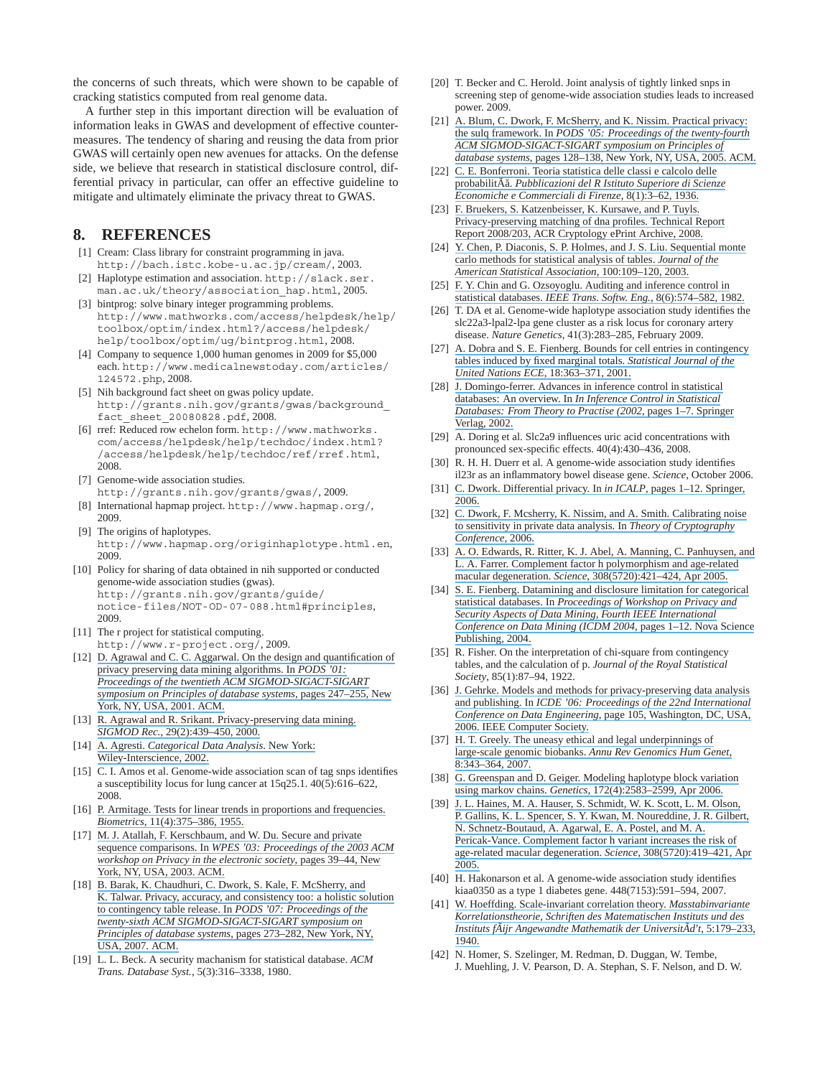the concerns of such threats, which were shown to be capable of cracking statistics computed from real genome data.

A further step in this important direction will be evaluation of information leaks in GWAS and development of effective countermeasures. The tendency of sharing and reusing the data from prior GWAS will certainly open new avenues for attacks. On the defense side, we believe that research in statistical disclosure control, differential privacy in particular, can offer an effective guideline to mitigate and ultimately eliminate the privacy threat to GWAS.

## **8. REFERENCES**

- [1] Cream: Class library for constraint programming in java. http://bach.istc.kobe-u.ac.jp/cream/, 2003.
- [2] Haplotype estimation and association. http://slack.ser. man.ac.uk/theory/association\_hap.html, 2005.
- [3] bintprog: solve binary integer programming problems. http://www.mathworks.com/access/helpdesk/help/ toolbox/optim/index.html?/access/helpdesk/ help/toolbox/optim/ug/bintprog.html, 2008.
- [4] Company to sequence 1,000 human genomes in 2009 for \$5,000 each. http://www.medicalnewstoday.com/articles/ 124572.php, 2008.
- [5] Nih background fact sheet on gwas policy update. http://grants.nih.gov/grants/gwas/background\_ fact\_sheet\_20080828.pdf, 2008.
- [6] rref: Reduced row echelon form. http://www.mathworks. com/access/helpdesk/help/techdoc/index.html? /access/helpdesk/help/techdoc/ref/rref.html, 2008.
- [7] Genome-wide association studies. http://grants.nih.gov/grants/gwas/, 2009.
- [8] International hapmap project. http://www.hapmap.org/, 2009.
- [9] The origins of haplotypes. http://www.hapmap.org/originhaplotype.html.en, 2009.
- [10] Policy for sharing of data obtained in nih supported or conducted genome-wide association studies (gwas). http://grants.nih.gov/grants/guide/ notice-files/NOT-OD-07-088.html#principles, 2009.
- [11] The r project for statistical computing. http://www.r-project.org/, 2009.
- [12] [D. Agrawal and C. C. Aggarwal. On the design and quantification of](https://www.researchgate.net/publication/2407250_On_the_Design_and_Quantification_of_Privacy_Preserving_Data_Mining_Algorithms?el=1_x_8&enrichId=rgreq-ed46c1f516e579eea4f21d145b4a598d-XXX&enrichSource=Y292ZXJQYWdlOzIyMTYwOTE5NDtBUzoxMDM2OTY3NzE4NDYxNTJAMTQwMTczNDY0NTU4Ng==) [privacy preserving data mining algorithms. In](https://www.researchgate.net/publication/2407250_On_the_Design_and_Quantification_of_Privacy_Preserving_Data_Mining_Algorithms?el=1_x_8&enrichId=rgreq-ed46c1f516e579eea4f21d145b4a598d-XXX&enrichSource=Y292ZXJQYWdlOzIyMTYwOTE5NDtBUzoxMDM2OTY3NzE4NDYxNTJAMTQwMTczNDY0NTU4Ng==) *PODS '01: [Proceedings of the twentieth ACM SIGMOD-SIGACT-SIGART](https://www.researchgate.net/publication/2407250_On_the_Design_and_Quantification_of_Privacy_Preserving_Data_Mining_Algorithms?el=1_x_8&enrichId=rgreq-ed46c1f516e579eea4f21d145b4a598d-XXX&enrichSource=Y292ZXJQYWdlOzIyMTYwOTE5NDtBUzoxMDM2OTY3NzE4NDYxNTJAMTQwMTczNDY0NTU4Ng==) [symposium on Principles of database systems](https://www.researchgate.net/publication/2407250_On_the_Design_and_Quantification_of_Privacy_Preserving_Data_Mining_Algorithms?el=1_x_8&enrichId=rgreq-ed46c1f516e579eea4f21d145b4a598d-XXX&enrichSource=Y292ZXJQYWdlOzIyMTYwOTE5NDtBUzoxMDM2OTY3NzE4NDYxNTJAMTQwMTczNDY0NTU4Ng==)*, pages 247–255, New [York, NY, USA, 2001. ACM.](https://www.researchgate.net/publication/2407250_On_the_Design_and_Quantification_of_Privacy_Preserving_Data_Mining_Algorithms?el=1_x_8&enrichId=rgreq-ed46c1f516e579eea4f21d145b4a598d-XXX&enrichSource=Y292ZXJQYWdlOzIyMTYwOTE5NDtBUzoxMDM2OTY3NzE4NDYxNTJAMTQwMTczNDY0NTU4Ng==)
- [13] [R. Agrawal and R. Srikant. Privacy-preserving data mining.](https://www.researchgate.net/publication/262235629_Privacy-preserving_data_mining?el=1_x_8&enrichId=rgreq-ed46c1f516e579eea4f21d145b4a598d-XXX&enrichSource=Y292ZXJQYWdlOzIyMTYwOTE5NDtBUzoxMDM2OTY3NzE4NDYxNTJAMTQwMTczNDY0NTU4Ng==) *SIGMOD Rec.*[, 29\(2\):439–450, 2000.](https://www.researchgate.net/publication/262235629_Privacy-preserving_data_mining?el=1_x_8&enrichId=rgreq-ed46c1f516e579eea4f21d145b4a598d-XXX&enrichSource=Y292ZXJQYWdlOzIyMTYwOTE5NDtBUzoxMDM2OTY3NzE4NDYxNTJAMTQwMTczNDY0NTU4Ng==)
- [14] A. Agresti. *[Categorical Data Analysis](https://www.researchgate.net/publication/264933916_Categorical_Data_Analysis_2nd_Edn?el=1_x_8&enrichId=rgreq-ed46c1f516e579eea4f21d145b4a598d-XXX&enrichSource=Y292ZXJQYWdlOzIyMTYwOTE5NDtBUzoxMDM2OTY3NzE4NDYxNTJAMTQwMTczNDY0NTU4Ng==)*. New York: [Wiley-Interscience, 2002.](https://www.researchgate.net/publication/264933916_Categorical_Data_Analysis_2nd_Edn?el=1_x_8&enrichId=rgreq-ed46c1f516e579eea4f21d145b4a598d-XXX&enrichSource=Y292ZXJQYWdlOzIyMTYwOTE5NDtBUzoxMDM2OTY3NzE4NDYxNTJAMTQwMTczNDY0NTU4Ng==)
- [15] C. I. Amos et al. Genome-wide association scan of tag snps identifies a susceptibility locus for lung cancer at 15q25.1. 40(5):616–622, 2008.
- [16] [P. Armitage. Tests for linear trends in proportions and frequencies.](https://www.researchgate.net/publication/240277862_Armitage_P_Tests_for_Linear_Trends_in_Proportions_and_Frequencies_Biometrics_11_375-386?el=1_x_8&enrichId=rgreq-ed46c1f516e579eea4f21d145b4a598d-XXX&enrichSource=Y292ZXJQYWdlOzIyMTYwOTE5NDtBUzoxMDM2OTY3NzE4NDYxNTJAMTQwMTczNDY0NTU4Ng==) *Biometrics*[, 11\(4\):375–386, 1955.](https://www.researchgate.net/publication/240277862_Armitage_P_Tests_for_Linear_Trends_in_Proportions_and_Frequencies_Biometrics_11_375-386?el=1_x_8&enrichId=rgreq-ed46c1f516e579eea4f21d145b4a598d-XXX&enrichSource=Y292ZXJQYWdlOzIyMTYwOTE5NDtBUzoxMDM2OTY3NzE4NDYxNTJAMTQwMTczNDY0NTU4Ng==)
- [17] [M. J. Atallah, F. Kerschbaum, and W. Du. Secure and private](https://www.researchgate.net/publication/2882256_Secure_and_Private_Sequence_Comparisons?el=1_x_8&enrichId=rgreq-ed46c1f516e579eea4f21d145b4a598d-XXX&enrichSource=Y292ZXJQYWdlOzIyMTYwOTE5NDtBUzoxMDM2OTY3NzE4NDYxNTJAMTQwMTczNDY0NTU4Ng==) sequence comparisons. In *[WPES '03: Proceedings of the 2003 ACM](https://www.researchgate.net/publication/2882256_Secure_and_Private_Sequence_Comparisons?el=1_x_8&enrichId=rgreq-ed46c1f516e579eea4f21d145b4a598d-XXX&enrichSource=Y292ZXJQYWdlOzIyMTYwOTE5NDtBUzoxMDM2OTY3NzE4NDYxNTJAMTQwMTczNDY0NTU4Ng==) [workshop on Privacy in the electronic society](https://www.researchgate.net/publication/2882256_Secure_and_Private_Sequence_Comparisons?el=1_x_8&enrichId=rgreq-ed46c1f516e579eea4f21d145b4a598d-XXX&enrichSource=Y292ZXJQYWdlOzIyMTYwOTE5NDtBUzoxMDM2OTY3NzE4NDYxNTJAMTQwMTczNDY0NTU4Ng==)*, pages 39–44, New [York, NY, USA, 2003. ACM.](https://www.researchgate.net/publication/2882256_Secure_and_Private_Sequence_Comparisons?el=1_x_8&enrichId=rgreq-ed46c1f516e579eea4f21d145b4a598d-XXX&enrichSource=Y292ZXJQYWdlOzIyMTYwOTE5NDtBUzoxMDM2OTY3NzE4NDYxNTJAMTQwMTczNDY0NTU4Ng==)
- [18] [B. Barak, K. Chaudhuri, C. Dwork, S. Kale, F. McSherry, and](https://www.researchgate.net/publication/221559358_Privacy_Accuracy_and_Consistency_Too_A_Holistic_Solution_to_Contingency_Table_Release?el=1_x_8&enrichId=rgreq-ed46c1f516e579eea4f21d145b4a598d-XXX&enrichSource=Y292ZXJQYWdlOzIyMTYwOTE5NDtBUzoxMDM2OTY3NzE4NDYxNTJAMTQwMTczNDY0NTU4Ng==) [K. Talwar. Privacy, accuracy, and consistency too: a holistic solution](https://www.researchgate.net/publication/221559358_Privacy_Accuracy_and_Consistency_Too_A_Holistic_Solution_to_Contingency_Table_Release?el=1_x_8&enrichId=rgreq-ed46c1f516e579eea4f21d145b4a598d-XXX&enrichSource=Y292ZXJQYWdlOzIyMTYwOTE5NDtBUzoxMDM2OTY3NzE4NDYxNTJAMTQwMTczNDY0NTU4Ng==) [to contingency table release. In](https://www.researchgate.net/publication/221559358_Privacy_Accuracy_and_Consistency_Too_A_Holistic_Solution_to_Contingency_Table_Release?el=1_x_8&enrichId=rgreq-ed46c1f516e579eea4f21d145b4a598d-XXX&enrichSource=Y292ZXJQYWdlOzIyMTYwOTE5NDtBUzoxMDM2OTY3NzE4NDYxNTJAMTQwMTczNDY0NTU4Ng==) *PODS '07: Proceedings of the [twenty-sixth ACM SIGMOD-SIGACT-SIGART symposium on](https://www.researchgate.net/publication/221559358_Privacy_Accuracy_and_Consistency_Too_A_Holistic_Solution_to_Contingency_Table_Release?el=1_x_8&enrichId=rgreq-ed46c1f516e579eea4f21d145b4a598d-XXX&enrichSource=Y292ZXJQYWdlOzIyMTYwOTE5NDtBUzoxMDM2OTY3NzE4NDYxNTJAMTQwMTczNDY0NTU4Ng==) Principles of database systems*[, pages 273–282, New York, NY,](https://www.researchgate.net/publication/221559358_Privacy_Accuracy_and_Consistency_Too_A_Holistic_Solution_to_Contingency_Table_Release?el=1_x_8&enrichId=rgreq-ed46c1f516e579eea4f21d145b4a598d-XXX&enrichSource=Y292ZXJQYWdlOzIyMTYwOTE5NDtBUzoxMDM2OTY3NzE4NDYxNTJAMTQwMTczNDY0NTU4Ng==) [USA, 2007. ACM.](https://www.researchgate.net/publication/221559358_Privacy_Accuracy_and_Consistency_Too_A_Holistic_Solution_to_Contingency_Table_Release?el=1_x_8&enrichId=rgreq-ed46c1f516e579eea4f21d145b4a598d-XXX&enrichSource=Y292ZXJQYWdlOzIyMTYwOTE5NDtBUzoxMDM2OTY3NzE4NDYxNTJAMTQwMTczNDY0NTU4Ng==)
- [19] L. L. Beck. A security machanism for statistical database. *ACM Trans. Database Syst.*, 5(3):316–3338, 1980.
- [20] T. Becker and C. Herold. Joint analysis of tightly linked snps in screening step of genome-wide association studies leads to increased power. 2009.
- [21] [A. Blum, C. Dwork, F. McSherry, and K. Nissim. Practical privacy:](https://www.researchgate.net/publication/221559370_Practical_privacy_The_SulQ_framework?el=1_x_8&enrichId=rgreq-ed46c1f516e579eea4f21d145b4a598d-XXX&enrichSource=Y292ZXJQYWdlOzIyMTYwOTE5NDtBUzoxMDM2OTY3NzE4NDYxNTJAMTQwMTczNDY0NTU4Ng==) the sulq framework. In *[PODS '05: Proceedings of the twenty-fourth](https://www.researchgate.net/publication/221559370_Practical_privacy_The_SulQ_framework?el=1_x_8&enrichId=rgreq-ed46c1f516e579eea4f21d145b4a598d-XXX&enrichSource=Y292ZXJQYWdlOzIyMTYwOTE5NDtBUzoxMDM2OTY3NzE4NDYxNTJAMTQwMTczNDY0NTU4Ng==) [ACM SIGMOD-SIGACT-SIGART symposium on Principles of](https://www.researchgate.net/publication/221559370_Practical_privacy_The_SulQ_framework?el=1_x_8&enrichId=rgreq-ed46c1f516e579eea4f21d145b4a598d-XXX&enrichSource=Y292ZXJQYWdlOzIyMTYwOTE5NDtBUzoxMDM2OTY3NzE4NDYxNTJAMTQwMTczNDY0NTU4Ng==) database systems*[, pages 128–138, New York, NY, USA, 2005. ACM.](https://www.researchgate.net/publication/221559370_Practical_privacy_The_SulQ_framework?el=1_x_8&enrichId=rgreq-ed46c1f516e579eea4f21d145b4a598d-XXX&enrichSource=Y292ZXJQYWdlOzIyMTYwOTE5NDtBUzoxMDM2OTY3NzE4NDYxNTJAMTQwMTczNDY0NTU4Ng==)
- [22] [C. E. Bonferroni. Teoria statistica delle classi e calcolo delle](https://www.researchgate.net/publication/247712451_Teoria_Statistica_Delle_Classi_e_Calcolo_Delle_Probabilita?el=1_x_8&enrichId=rgreq-ed46c1f516e579eea4f21d145b4a598d-XXX&enrichSource=Y292ZXJQYWdlOzIyMTYwOTE5NDtBUzoxMDM2OTY3NzE4NDYxNTJAMTQwMTczNDY0NTU4Ng==) probabilitÃa.˘ *[Pubblicazioni del R Istituto Superiore di Scienze](https://www.researchgate.net/publication/247712451_Teoria_Statistica_Delle_Classi_e_Calcolo_Delle_Probabilita?el=1_x_8&enrichId=rgreq-ed46c1f516e579eea4f21d145b4a598d-XXX&enrichSource=Y292ZXJQYWdlOzIyMTYwOTE5NDtBUzoxMDM2OTY3NzE4NDYxNTJAMTQwMTczNDY0NTU4Ng==) [Economiche e Commerciali di Firenze](https://www.researchgate.net/publication/247712451_Teoria_Statistica_Delle_Classi_e_Calcolo_Delle_Probabilita?el=1_x_8&enrichId=rgreq-ed46c1f516e579eea4f21d145b4a598d-XXX&enrichSource=Y292ZXJQYWdlOzIyMTYwOTE5NDtBUzoxMDM2OTY3NzE4NDYxNTJAMTQwMTczNDY0NTU4Ng==)*, 8(1):3–62, 1936.
- [23] [F. Bruekers, S. Katzenbeisser, K. Kursawe, and P. Tuyls.](https://www.researchgate.net/publication/220335801_Privacy-Preserving_Matching_of_DNA_Profiles?el=1_x_8&enrichId=rgreq-ed46c1f516e579eea4f21d145b4a598d-XXX&enrichSource=Y292ZXJQYWdlOzIyMTYwOTE5NDtBUzoxMDM2OTY3NzE4NDYxNTJAMTQwMTczNDY0NTU4Ng==) [Privacy-preserving matching of dna profiles. Technical Report](https://www.researchgate.net/publication/220335801_Privacy-Preserving_Matching_of_DNA_Profiles?el=1_x_8&enrichId=rgreq-ed46c1f516e579eea4f21d145b4a598d-XXX&enrichSource=Y292ZXJQYWdlOzIyMTYwOTE5NDtBUzoxMDM2OTY3NzE4NDYxNTJAMTQwMTczNDY0NTU4Ng==) [Report 2008/203, ACR Cryptology ePrint Archive, 2008.](https://www.researchgate.net/publication/220335801_Privacy-Preserving_Matching_of_DNA_Profiles?el=1_x_8&enrichId=rgreq-ed46c1f516e579eea4f21d145b4a598d-XXX&enrichSource=Y292ZXJQYWdlOzIyMTYwOTE5NDtBUzoxMDM2OTY3NzE4NDYxNTJAMTQwMTczNDY0NTU4Ng==)
- [24] [Y. Chen, P. Diaconis, S. P. Holmes, and J. S. Liu. Sequential monte](https://www.researchgate.net/publication/4741702_Sequential_Monte_Carlo_Methods_for_Statistical_Analysis_of_Table?el=1_x_8&enrichId=rgreq-ed46c1f516e579eea4f21d145b4a598d-XXX&enrichSource=Y292ZXJQYWdlOzIyMTYwOTE5NDtBUzoxMDM2OTY3NzE4NDYxNTJAMTQwMTczNDY0NTU4Ng==) [carlo methods for statistical analysis of tables.](https://www.researchgate.net/publication/4741702_Sequential_Monte_Carlo_Methods_for_Statistical_Analysis_of_Table?el=1_x_8&enrichId=rgreq-ed46c1f516e579eea4f21d145b4a598d-XXX&enrichSource=Y292ZXJQYWdlOzIyMTYwOTE5NDtBUzoxMDM2OTY3NzE4NDYxNTJAMTQwMTczNDY0NTU4Ng==) *Journal of the [American Statistical Association](https://www.researchgate.net/publication/4741702_Sequential_Monte_Carlo_Methods_for_Statistical_Analysis_of_Table?el=1_x_8&enrichId=rgreq-ed46c1f516e579eea4f21d145b4a598d-XXX&enrichSource=Y292ZXJQYWdlOzIyMTYwOTE5NDtBUzoxMDM2OTY3NzE4NDYxNTJAMTQwMTczNDY0NTU4Ng==)*, 100:109–120, 2003.
- [25] [F. Y. Chin and G. Ozsoyoglu. Auditing and inference control in](https://www.researchgate.net/publication/3189560_Auditing_and_Inference_Control_in_Statistical_Databases?el=1_x_8&enrichId=rgreq-ed46c1f516e579eea4f21d145b4a598d-XXX&enrichSource=Y292ZXJQYWdlOzIyMTYwOTE5NDtBUzoxMDM2OTY3NzE4NDYxNTJAMTQwMTczNDY0NTU4Ng==) statistical databases. *[IEEE Trans. Softw. Eng.](https://www.researchgate.net/publication/3189560_Auditing_and_Inference_Control_in_Statistical_Databases?el=1_x_8&enrichId=rgreq-ed46c1f516e579eea4f21d145b4a598d-XXX&enrichSource=Y292ZXJQYWdlOzIyMTYwOTE5NDtBUzoxMDM2OTY3NzE4NDYxNTJAMTQwMTczNDY0NTU4Ng==)*, 8(6):574–582, 1982.
- [26] T. DA et al. Genome-wide haplotype association study identifies the slc22a3-lpal2-lpa gene cluster as a risk locus for coronary artery disease. *Nature Genetics*, 41(3):283–285, February 2009.
- [27] [A. Dobra and S. E. Fienberg. Bounds for cell entries in contingency](https://www.researchgate.net/publication/263751263_Bounds_for_cell_entries_in_contingency_tables_induced_by_fixed?el=1_x_8&enrichId=rgreq-ed46c1f516e579eea4f21d145b4a598d-XXX&enrichSource=Y292ZXJQYWdlOzIyMTYwOTE5NDtBUzoxMDM2OTY3NzE4NDYxNTJAMTQwMTczNDY0NTU4Ng==) [tables induced by fixed marginal totals.](https://www.researchgate.net/publication/263751263_Bounds_for_cell_entries_in_contingency_tables_induced_by_fixed?el=1_x_8&enrichId=rgreq-ed46c1f516e579eea4f21d145b4a598d-XXX&enrichSource=Y292ZXJQYWdlOzIyMTYwOTE5NDtBUzoxMDM2OTY3NzE4NDYxNTJAMTQwMTczNDY0NTU4Ng==) *Statistical Journal of the [United Nations ECE](https://www.researchgate.net/publication/263751263_Bounds_for_cell_entries_in_contingency_tables_induced_by_fixed?el=1_x_8&enrichId=rgreq-ed46c1f516e579eea4f21d145b4a598d-XXX&enrichSource=Y292ZXJQYWdlOzIyMTYwOTE5NDtBUzoxMDM2OTY3NzE4NDYxNTJAMTQwMTczNDY0NTU4Ng==)*, 18:363–371, 2001.
- [28] [J. Domingo-ferrer. Advances in inference control in statistical](https://www.researchgate.net/publication/221307133_Advances_in_Inference_Control_in_Statistical_Databases_An_Overview?el=1_x_8&enrichId=rgreq-ed46c1f516e579eea4f21d145b4a598d-XXX&enrichSource=Y292ZXJQYWdlOzIyMTYwOTE5NDtBUzoxMDM2OTY3NzE4NDYxNTJAMTQwMTczNDY0NTU4Ng==) databases: An overview. In *[In Inference Control in Statistical](https://www.researchgate.net/publication/221307133_Advances_in_Inference_Control_in_Statistical_Databases_An_Overview?el=1_x_8&enrichId=rgreq-ed46c1f516e579eea4f21d145b4a598d-XXX&enrichSource=Y292ZXJQYWdlOzIyMTYwOTE5NDtBUzoxMDM2OTY3NzE4NDYxNTJAMTQwMTczNDY0NTU4Ng==) [Databases: From Theory to Practise \(2002](https://www.researchgate.net/publication/221307133_Advances_in_Inference_Control_in_Statistical_Databases_An_Overview?el=1_x_8&enrichId=rgreq-ed46c1f516e579eea4f21d145b4a598d-XXX&enrichSource=Y292ZXJQYWdlOzIyMTYwOTE5NDtBUzoxMDM2OTY3NzE4NDYxNTJAMTQwMTczNDY0NTU4Ng==)*, pages 1–7. Springer [Verlag, 2002.](https://www.researchgate.net/publication/221307133_Advances_in_Inference_Control_in_Statistical_Databases_An_Overview?el=1_x_8&enrichId=rgreq-ed46c1f516e579eea4f21d145b4a598d-XXX&enrichSource=Y292ZXJQYWdlOzIyMTYwOTE5NDtBUzoxMDM2OTY3NzE4NDYxNTJAMTQwMTczNDY0NTU4Ng==)
- [29] A. Doring et al. Slc2a9 influences uric acid concentrations with pronounced sex-specific effects. 40(4):430–436, 2008.
- [30] R. H. H. Duerr et al. A genome-wide association study identifies il23r as an inflammatory bowel disease gene. *Science*, October 2006.
- [31] [C. Dwork. Differential privacy. In](https://www.researchgate.net/publication/225451636_Differential_Privacy?el=1_x_8&enrichId=rgreq-ed46c1f516e579eea4f21d145b4a598d-XXX&enrichSource=Y292ZXJQYWdlOzIyMTYwOTE5NDtBUzoxMDM2OTY3NzE4NDYxNTJAMTQwMTczNDY0NTU4Ng==) *in ICALP*, pages 1–12. Springer, [2006.](https://www.researchgate.net/publication/225451636_Differential_Privacy?el=1_x_8&enrichId=rgreq-ed46c1f516e579eea4f21d145b4a598d-XXX&enrichSource=Y292ZXJQYWdlOzIyMTYwOTE5NDtBUzoxMDM2OTY3NzE4NDYxNTJAMTQwMTczNDY0NTU4Ng==)
- [32] [C. Dwork, F. Mcsherry, K. Nissim, and A. Smith. Calibrating noise](https://www.researchgate.net/publication/225124717_Calibrating_Noise_to_Sensitivity_in_Private_Data_Analysis?el=1_x_8&enrichId=rgreq-ed46c1f516e579eea4f21d145b4a598d-XXX&enrichSource=Y292ZXJQYWdlOzIyMTYwOTE5NDtBUzoxMDM2OTY3NzE4NDYxNTJAMTQwMTczNDY0NTU4Ng==) [to sensitivity in private data analysis. In](https://www.researchgate.net/publication/225124717_Calibrating_Noise_to_Sensitivity_in_Private_Data_Analysis?el=1_x_8&enrichId=rgreq-ed46c1f516e579eea4f21d145b4a598d-XXX&enrichSource=Y292ZXJQYWdlOzIyMTYwOTE5NDtBUzoxMDM2OTY3NzE4NDYxNTJAMTQwMTczNDY0NTU4Ng==) *Theory of Cryptography [Conference](https://www.researchgate.net/publication/225124717_Calibrating_Noise_to_Sensitivity_in_Private_Data_Analysis?el=1_x_8&enrichId=rgreq-ed46c1f516e579eea4f21d145b4a598d-XXX&enrichSource=Y292ZXJQYWdlOzIyMTYwOTE5NDtBUzoxMDM2OTY3NzE4NDYxNTJAMTQwMTczNDY0NTU4Ng==)*, 2006.
- [33] [A. O. Edwards, R. Ritter, K. J. Abel, A. Manning, C. Panhuysen, and](https://www.researchgate.net/publication/7973574_Complement_Factor_H_Polymorphism_and_Age-Related_Macular_Degeneration?el=1_x_8&enrichId=rgreq-ed46c1f516e579eea4f21d145b4a598d-XXX&enrichSource=Y292ZXJQYWdlOzIyMTYwOTE5NDtBUzoxMDM2OTY3NzE4NDYxNTJAMTQwMTczNDY0NTU4Ng==) [L. A. Farrer. Complement factor h polymorphism and age-related](https://www.researchgate.net/publication/7973574_Complement_Factor_H_Polymorphism_and_Age-Related_Macular_Degeneration?el=1_x_8&enrichId=rgreq-ed46c1f516e579eea4f21d145b4a598d-XXX&enrichSource=Y292ZXJQYWdlOzIyMTYwOTE5NDtBUzoxMDM2OTY3NzE4NDYxNTJAMTQwMTczNDY0NTU4Ng==) macular degeneration. *Science*[, 308\(5720\):421–424, Apr 2005.](https://www.researchgate.net/publication/7973574_Complement_Factor_H_Polymorphism_and_Age-Related_Macular_Degeneration?el=1_x_8&enrichId=rgreq-ed46c1f516e579eea4f21d145b4a598d-XXX&enrichSource=Y292ZXJQYWdlOzIyMTYwOTE5NDtBUzoxMDM2OTY3NzE4NDYxNTJAMTQwMTczNDY0NTU4Ng==)
- [34] [S. E. Fienberg. Datamining and disclosure limitation for categorical](https://www.researchgate.net/publication/228726328_Datamining_and_disclosure_limitation_for_categorical_statistical_databases?el=1_x_8&enrichId=rgreq-ed46c1f516e579eea4f21d145b4a598d-XXX&enrichSource=Y292ZXJQYWdlOzIyMTYwOTE5NDtBUzoxMDM2OTY3NzE4NDYxNTJAMTQwMTczNDY0NTU4Ng==) statistical databases. In *[Proceedings of Workshop on Privacy and](https://www.researchgate.net/publication/228726328_Datamining_and_disclosure_limitation_for_categorical_statistical_databases?el=1_x_8&enrichId=rgreq-ed46c1f516e579eea4f21d145b4a598d-XXX&enrichSource=Y292ZXJQYWdlOzIyMTYwOTE5NDtBUzoxMDM2OTY3NzE4NDYxNTJAMTQwMTczNDY0NTU4Ng==) [Security Aspects of Data Mining, Fourth IEEE International](https://www.researchgate.net/publication/228726328_Datamining_and_disclosure_limitation_for_categorical_statistical_databases?el=1_x_8&enrichId=rgreq-ed46c1f516e579eea4f21d145b4a598d-XXX&enrichSource=Y292ZXJQYWdlOzIyMTYwOTE5NDtBUzoxMDM2OTY3NzE4NDYxNTJAMTQwMTczNDY0NTU4Ng==) [Conference on Data Mining \(ICDM 2004](https://www.researchgate.net/publication/228726328_Datamining_and_disclosure_limitation_for_categorical_statistical_databases?el=1_x_8&enrichId=rgreq-ed46c1f516e579eea4f21d145b4a598d-XXX&enrichSource=Y292ZXJQYWdlOzIyMTYwOTE5NDtBUzoxMDM2OTY3NzE4NDYxNTJAMTQwMTczNDY0NTU4Ng==)*, pages 1–12. Nova Science [Publishing, 2004.](https://www.researchgate.net/publication/228726328_Datamining_and_disclosure_limitation_for_categorical_statistical_databases?el=1_x_8&enrichId=rgreq-ed46c1f516e579eea4f21d145b4a598d-XXX&enrichSource=Y292ZXJQYWdlOzIyMTYwOTE5NDtBUzoxMDM2OTY3NzE4NDYxNTJAMTQwMTczNDY0NTU4Ng==)
- [35] R. Fisher. On the interpretation of chi-square from contingency tables, and the calculation of p. *Journal of the Royal Statistical Society*, 85(1):87–94, 1922.
- [36] [J. Gehrke. Models and methods for privacy-preserving data analysis](https://www.researchgate.net/publication/4234765_Models_and_Methods_for_Privacy-Preserving_Data_Analysis_and_Publishing?el=1_x_8&enrichId=rgreq-ed46c1f516e579eea4f21d145b4a598d-XXX&enrichSource=Y292ZXJQYWdlOzIyMTYwOTE5NDtBUzoxMDM2OTY3NzE4NDYxNTJAMTQwMTczNDY0NTU4Ng==) and publishing. In *[ICDE '06: Proceedings of the 22nd International](https://www.researchgate.net/publication/4234765_Models_and_Methods_for_Privacy-Preserving_Data_Analysis_and_Publishing?el=1_x_8&enrichId=rgreq-ed46c1f516e579eea4f21d145b4a598d-XXX&enrichSource=Y292ZXJQYWdlOzIyMTYwOTE5NDtBUzoxMDM2OTY3NzE4NDYxNTJAMTQwMTczNDY0NTU4Ng==) Conference on Data Engineering*[, page 105, Washington, DC, USA,](https://www.researchgate.net/publication/4234765_Models_and_Methods_for_Privacy-Preserving_Data_Analysis_and_Publishing?el=1_x_8&enrichId=rgreq-ed46c1f516e579eea4f21d145b4a598d-XXX&enrichSource=Y292ZXJQYWdlOzIyMTYwOTE5NDtBUzoxMDM2OTY3NzE4NDYxNTJAMTQwMTczNDY0NTU4Ng==) [2006. IEEE Computer Society.](https://www.researchgate.net/publication/4234765_Models_and_Methods_for_Privacy-Preserving_Data_Analysis_and_Publishing?el=1_x_8&enrichId=rgreq-ed46c1f516e579eea4f21d145b4a598d-XXX&enrichSource=Y292ZXJQYWdlOzIyMTYwOTE5NDtBUzoxMDM2OTY3NzE4NDYxNTJAMTQwMTczNDY0NTU4Ng==)
- [37] [H. T. Greely. The uneasy ethical and legal underpinnings of](https://www.researchgate.net/publication/6286974_The_Uneasy_Ethical_and_Legal_Underpinnings_of_Large-Scale_Genomic_Biobanks?el=1_x_8&enrichId=rgreq-ed46c1f516e579eea4f21d145b4a598d-XXX&enrichSource=Y292ZXJQYWdlOzIyMTYwOTE5NDtBUzoxMDM2OTY3NzE4NDYxNTJAMTQwMTczNDY0NTU4Ng==) large-scale genomic biobanks. *[Annu Rev Genomics Hum Genet](https://www.researchgate.net/publication/6286974_The_Uneasy_Ethical_and_Legal_Underpinnings_of_Large-Scale_Genomic_Biobanks?el=1_x_8&enrichId=rgreq-ed46c1f516e579eea4f21d145b4a598d-XXX&enrichSource=Y292ZXJQYWdlOzIyMTYwOTE5NDtBUzoxMDM2OTY3NzE4NDYxNTJAMTQwMTczNDY0NTU4Ng==)*, [8:343–364, 2007.](https://www.researchgate.net/publication/6286974_The_Uneasy_Ethical_and_Legal_Underpinnings_of_Large-Scale_Genomic_Biobanks?el=1_x_8&enrichId=rgreq-ed46c1f516e579eea4f21d145b4a598d-XXX&enrichSource=Y292ZXJQYWdlOzIyMTYwOTE5NDtBUzoxMDM2OTY3NzE4NDYxNTJAMTQwMTczNDY0NTU4Ng==)
- [38] [G. Greenspan and D. Geiger. Modeling haplotype block variation](https://www.researchgate.net/publication/7409596_Modeling_Haplotype_Block_Variation_Using_Markov_Chains?el=1_x_8&enrichId=rgreq-ed46c1f516e579eea4f21d145b4a598d-XXX&enrichSource=Y292ZXJQYWdlOzIyMTYwOTE5NDtBUzoxMDM2OTY3NzE4NDYxNTJAMTQwMTczNDY0NTU4Ng==) using markov chains. *Genetics*[, 172\(4\):2583–2599, Apr 2006.](https://www.researchgate.net/publication/7409596_Modeling_Haplotype_Block_Variation_Using_Markov_Chains?el=1_x_8&enrichId=rgreq-ed46c1f516e579eea4f21d145b4a598d-XXX&enrichSource=Y292ZXJQYWdlOzIyMTYwOTE5NDtBUzoxMDM2OTY3NzE4NDYxNTJAMTQwMTczNDY0NTU4Ng==)
- [39] [J. L. Haines, M. A. Hauser, S. Schmidt, W. K. Scott, L. M. Olson,](https://www.researchgate.net/publication/6955951_Complement_Factor_H_Increases_Risk_for_Atrophic_Age-Related_Macular_Degeneration?el=1_x_8&enrichId=rgreq-ed46c1f516e579eea4f21d145b4a598d-XXX&enrichSource=Y292ZXJQYWdlOzIyMTYwOTE5NDtBUzoxMDM2OTY3NzE4NDYxNTJAMTQwMTczNDY0NTU4Ng==) [P. Gallins, K. L. Spencer, S. Y. Kwan, M. Noureddine, J. R. Gilbert,](https://www.researchgate.net/publication/6955951_Complement_Factor_H_Increases_Risk_for_Atrophic_Age-Related_Macular_Degeneration?el=1_x_8&enrichId=rgreq-ed46c1f516e579eea4f21d145b4a598d-XXX&enrichSource=Y292ZXJQYWdlOzIyMTYwOTE5NDtBUzoxMDM2OTY3NzE4NDYxNTJAMTQwMTczNDY0NTU4Ng==) [N. Schnetz-Boutaud, A. Agarwal, E. A. Postel, and M. A.](https://www.researchgate.net/publication/6955951_Complement_Factor_H_Increases_Risk_for_Atrophic_Age-Related_Macular_Degeneration?el=1_x_8&enrichId=rgreq-ed46c1f516e579eea4f21d145b4a598d-XXX&enrichSource=Y292ZXJQYWdlOzIyMTYwOTE5NDtBUzoxMDM2OTY3NzE4NDYxNTJAMTQwMTczNDY0NTU4Ng==) [Pericak-Vance. Complement factor h variant increases the risk of](https://www.researchgate.net/publication/6955951_Complement_Factor_H_Increases_Risk_for_Atrophic_Age-Related_Macular_Degeneration?el=1_x_8&enrichId=rgreq-ed46c1f516e579eea4f21d145b4a598d-XXX&enrichSource=Y292ZXJQYWdlOzIyMTYwOTE5NDtBUzoxMDM2OTY3NzE4NDYxNTJAMTQwMTczNDY0NTU4Ng==) [age-related macular degeneration.](https://www.researchgate.net/publication/6955951_Complement_Factor_H_Increases_Risk_for_Atrophic_Age-Related_Macular_Degeneration?el=1_x_8&enrichId=rgreq-ed46c1f516e579eea4f21d145b4a598d-XXX&enrichSource=Y292ZXJQYWdlOzIyMTYwOTE5NDtBUzoxMDM2OTY3NzE4NDYxNTJAMTQwMTczNDY0NTU4Ng==) *Science*, 308(5720):419–421, Apr [2005.](https://www.researchgate.net/publication/6955951_Complement_Factor_H_Increases_Risk_for_Atrophic_Age-Related_Macular_Degeneration?el=1_x_8&enrichId=rgreq-ed46c1f516e579eea4f21d145b4a598d-XXX&enrichSource=Y292ZXJQYWdlOzIyMTYwOTE5NDtBUzoxMDM2OTY3NzE4NDYxNTJAMTQwMTczNDY0NTU4Ng==)
- [40] H. Hakonarson et al. A genome-wide association study identifies kiaa0350 as a type 1 diabetes gene. 448(7153):591–594, 2007.
- [41] [W. Hoeffding. Scale-invariant correlation theory.](https://www.researchgate.net/publication/247445642_Scale-Invariant_Correlation_Theory?el=1_x_8&enrichId=rgreq-ed46c1f516e579eea4f21d145b4a598d-XXX&enrichSource=Y292ZXJQYWdlOzIyMTYwOTE5NDtBUzoxMDM2OTY3NzE4NDYxNTJAMTQwMTczNDY0NTU4Ng==) *Masstabinvariante [Korrelationstheorie, Schriften des Matematischen Instituts und des](https://www.researchgate.net/publication/247445642_Scale-Invariant_Correlation_Theory?el=1_x_8&enrichId=rgreq-ed46c1f516e579eea4f21d145b4a598d-XXX&enrichSource=Y292ZXJQYWdlOzIyMTYwOTE5NDtBUzoxMDM2OTY3NzE4NDYxNTJAMTQwMTczNDY0NTU4Ng==) [Instituts fÃijr Angewandte Mathematik der UniversitÃd't](https://www.researchgate.net/publication/247445642_Scale-Invariant_Correlation_Theory?el=1_x_8&enrichId=rgreq-ed46c1f516e579eea4f21d145b4a598d-XXX&enrichSource=Y292ZXJQYWdlOzIyMTYwOTE5NDtBUzoxMDM2OTY3NzE4NDYxNTJAMTQwMTczNDY0NTU4Ng==)*, 5:179–233, [1940.](https://www.researchgate.net/publication/247445642_Scale-Invariant_Correlation_Theory?el=1_x_8&enrichId=rgreq-ed46c1f516e579eea4f21d145b4a598d-XXX&enrichSource=Y292ZXJQYWdlOzIyMTYwOTE5NDtBUzoxMDM2OTY3NzE4NDYxNTJAMTQwMTczNDY0NTU4Ng==)
- [42] N. Homer, S. Szelinger, M. Redman, D. Duggan, W. Tembe, J. Muehling, J. V. Pearson, D. A. Stephan, S. F. Nelson, and D. W.